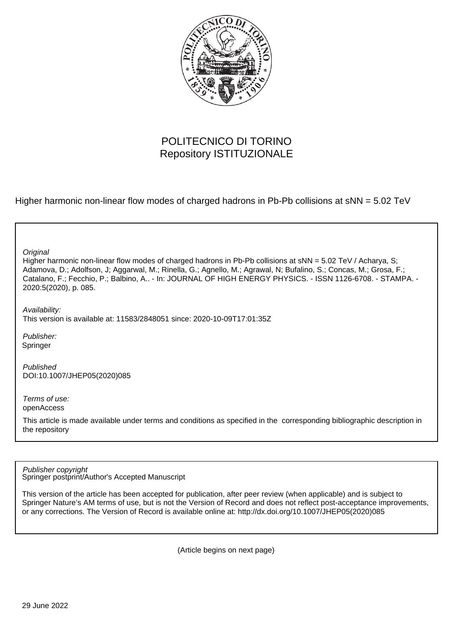

## POLITECNICO DI TORINO Repository ISTITUZIONALE

Higher harmonic non-linear flow modes of charged hadrons in Pb-Pb collisions at sNN = 5.02 TeV

Higher harmonic non-linear flow modes of charged hadrons in Pb-Pb collisions at sNN = 5.02 TeV / Acharya, S; Adamova, D.; Adolfson, J; Aggarwal, M.; Rinella, G.; Agnello, M.; Agrawal, N; Bufalino, S.; Concas, M.; Grosa, F.; Catalano, F.; Fecchio, P.; Balbino, A.. - In: JOURNAL OF HIGH ENERGY PHYSICS. - ISSN 1126-6708. - STAMPA. - 2020:5(2020), p. 085. **Original** Publisher: Published DOI:10.1007/JHEP05(2020)085 Availability: This version is available at: 11583/2848051 since: 2020-10-09T17:01:35Z Springer

Terms of use: openAccess

This article is made available under terms and conditions as specified in the corresponding bibliographic description in the repository

Springer postprint/Author's Accepted Manuscript Publisher copyright

This version of the article has been accepted for publication, after peer review (when applicable) and is subject to Springer Nature's AM terms of use, but is not the Version of Record and does not reflect post-acceptance improvements, or any corrections. The Version of Record is available online at: http://dx.doi.org/10.1007/JHEP05(2020)085

(Article begins on next page)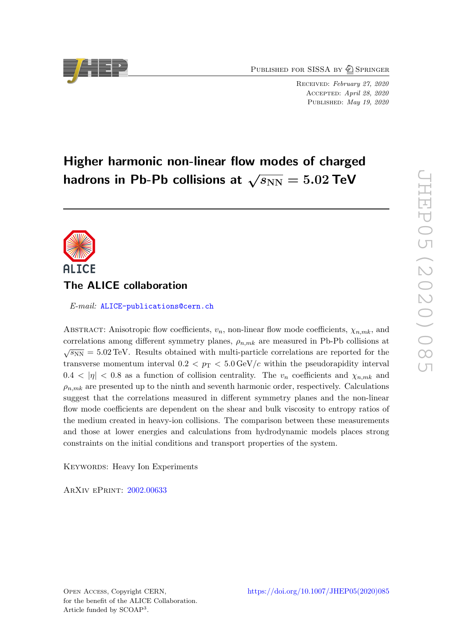PUBLISHED FOR SISSA BY 2 SPRINGER

Received: February 27, 2020 Accepted: April 28, 2020 PUBLISHED: May 19, 2020

# Higher harmonic non-linear flow modes of charged hadrons in Pb-Pb collisions at  $\sqrt{s_{\rm NN}} = 5.02$  TeV



## The ALICE collaboration

E-mail: [ALICE-publications@cern.ch](mailto:ALICE-publications@cern.ch)

ABSTRACT: Anisotropic flow coefficients,  $v_n$ , non-linear flow mode coefficients,  $\chi_{n,mk}$ , and correlations among different symmetry planes,  $\rho_{n,mk}$  are measured in Pb-Pb collisions at  $\sqrt{s_{NN}} = 5.02 \text{ TeV}$ . Results obtained with multi-particle correlations are reported for the transverse momentum interval  $0.2 < p_T < 5.0 \,\text{GeV}/c$  within the pseudorapidity interval  $0.4 < |\eta| < 0.8$  as a function of collision centrality. The  $v_n$  coefficients and  $\chi_{n,mk}$  and  $\rho_{n,mk}$  are presented up to the ninth and seventh harmonic order, respectively. Calculations suggest that the correlations measured in different symmetry planes and the non-linear flow mode coefficients are dependent on the shear and bulk viscosity to entropy ratios of the medium created in heavy-ion collisions. The comparison between these measurements and those at lower energies and calculations from hydrodynamic models places strong constraints on the initial conditions and transport properties of the system.

KEYWORDS: Heavy Ion Experiments

ArXiv ePrint: [2002.00633](https://arxiv.org/abs/2002.00633)

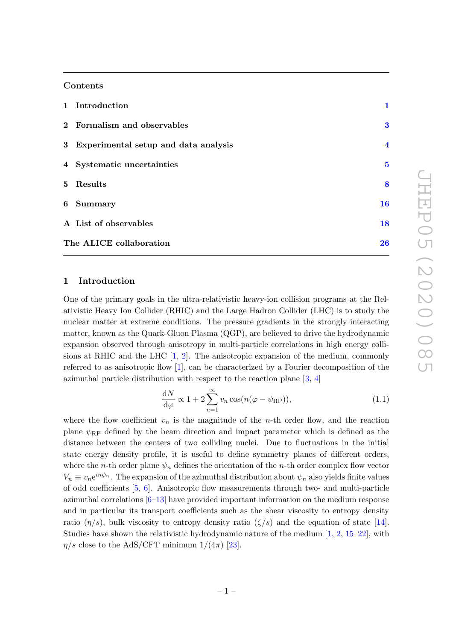#### Contents

| 1 Introduction                         | 1              |
|----------------------------------------|----------------|
| 2 Formalism and observables            | $\bf{3}$       |
| 3 Experimental setup and data analysis | $\overline{4}$ |
| 4 Systematic uncertainties             | $\bf{5}$       |
| 5 Results                              | 8              |
| 6 Summary                              | 16             |
| A List of observables                  | 18             |
| The ALICE collaboration                | 26             |

#### 1 Introduction

One of the primary goals in the ultra-relativistic heavy-ion collision programs at the Relativistic Heavy Ion Collider (RHIC) and the Large Hadron Collider (LHC) is to study the nuclear matter at extreme conditions. The pressure gradients in the strongly interacting matter, known as the Quark-Gluon Plasma (QGP), are believed to drive the hydrodynamic expansion observed through anisotropy in multi-particle correlations in high energy collisions at RHIC and the LHC  $[1, 2]$ . The anisotropic expansion of the medium, commonly referred to as anisotropic flow [1], can be characterized by a Fourier decomposition of the azimuthal particle distribution with respect to the reaction plane [3, 4]

$$
\frac{dN}{d\varphi} \propto 1 + 2 \sum_{n=1}^{\infty} v_n \cos(n(\varphi - \psi_{\rm RP})), \tag{1.1}
$$

where the flow coefficient  $v_n$  is the magnitude of the *n*-th order flow, and the reaction plane  $\psi_{\rm BP}$  defined by the beam direction and impact parameter which is defined as the distance between the centers of two colliding nuclei. Due to fluctuations in the initial state energy density profile, it is useful to define symmetry planes of different orders, where the *n*-th order plane  $\psi_n$  defines the orientation of the *n*-th order complex flow vector  $V_n \equiv v_n e^{in\psi_n}$ . The expansion of the azimuthal distribution about  $\psi_n$  also yields finite values of odd coefficients [5, 6]. Anisotropic flow measurements through two- and multi-particle azimuthal correlations  $[6-13]$  have provided important information on the medium response and in particular its transport coefficients such as the shear viscosity to entropy density ratio  $(\eta/s)$ , bulk viscosity to entropy density ratio  $(\zeta/s)$  and the equation of state [14]. Studies have shown the relativistic hydrodynamic nature of the medium  $[1, 2, 15-22]$ , with  $\eta/s$  close to the AdS/CFT minimum  $1/(4\pi)$  [23].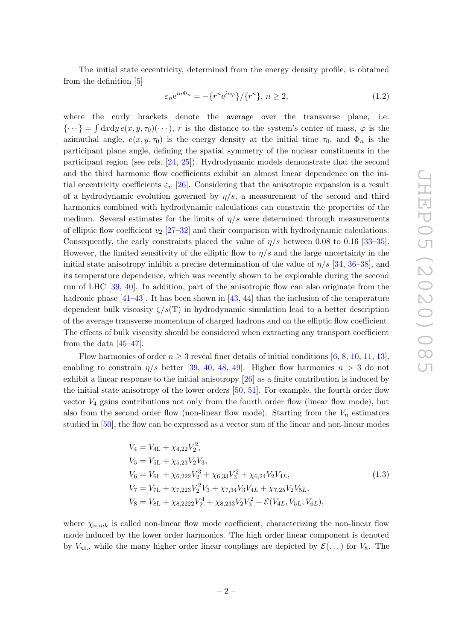The initial state eccentricity, determined from the energy density profile, is obtained from the definition [5]

$$
\varepsilon_n e^{in\Phi_n} = -\{r^n e^{in\varphi}\}/\{r^n\}, n \ge 2,
$$
\n(1.2)

where the curly brackets denote the average over the transverse plane, i.e.  $\{\cdots\} = \int dx dy e(x, y, \tau_0)(\cdots), r$  is the distance to the system's center of mass,  $\varphi$  is the azimuthal angle,  $e(x, y, \tau_0)$  is the energy density at the initial time  $\tau_0$ , and  $\Phi_n$  is the participant plane angle, defining the spatial symmetry of the nuclear constituents in the participant region (see refs. [24, 25]). Hydrodynamic models demonstrate that the second and the third harmonic flow coefficients exhibit an almost linear dependence on the initial eccentricity coefficients  $\varepsilon_n$  [26]. Considering that the anisotropic expansion is a result of a hydrodynamic evolution governed by  $\eta/s$ , a measurement of the second and third harmonics combined with hydrodynamic calculations can constrain the properties of the medium. Several estimates for the limits of  $\eta/s$  were determined through measurements of elliptic flow coefficient  $v_2$  [27–32] and their comparison with hydrodynamic calculations. Consequently, the early constraints placed the value of  $\eta/s$  between 0.08 to 0.16 [33–35]. However, the limited sensitivity of the elliptic flow to  $\eta/s$  and the large uncertainty in the initial state anisotropy inhibit a precise determination of the value of  $\eta/s$  [34, 36–38], and its temperature dependence, which was recently shown to be explorable during the second run of LHC [39, 40]. In addition, part of the anisotropic flow can also originate from the hadronic phase  $[41-43]$ . It has been shown in  $[43, 44]$  that the inclusion of the temperature dependent bulk viscosity  $\zeta/s(T)$  in hydrodynamic simulation lead to a better description of the average transverse momentum of charged hadrons and on the elliptic flow coefficient. The effects of bulk viscosity should be considered when extracting any transport coefficient from the data [45–47].

Flow harmonics of order  $n \geq 3$  reveal finer details of initial conditions [6, 8, 10, 11, 13], enabling to constrain  $\eta/s$  better [39, 40, 48, 49]. Higher flow harmonics  $n > 3$  do not exhibit a linear response to the initial anisotropy [26] as a finite contribution is induced by the initial state anisotropy of the lower orders [50, 51]. For example, the fourth order flow vector  $V_4$  gains contributions not only from the fourth order flow (linear flow mode), but also from the second order flow (non-linear flow mode). Starting from the  $V_n$  estimators studied in [50], the flow can be expressed as a vector sum of the linear and non-linear modes

$$
V_4 = V_{4L} + \chi_{4,22} V_2^2,
$$
  
\n
$$
V_5 = V_{5L} + \chi_{5,23} V_2 V_3,
$$
  
\n
$$
V_6 = V_{6L} + \chi_{6,222} V_2^3 + \chi_{6,33} V_3^2 + \chi_{6,24} V_2 V_{4L},
$$
  
\n
$$
V_7 = V_{7L} + \chi_{7,223} V_2^2 V_3 + \chi_{7,34} V_3 V_{4L} + \chi_{7,25} V_2 V_{5L},
$$
  
\n
$$
V_8 = V_{8L} + \chi_{8,2222} V_2^4 + \chi_{8,233} V_2 V_3^2 + \mathcal{E}(V_{4L}, V_{5L}, V_{6L}),
$$
\n(1.3)

where  $\chi_{n,mk}$  is called non-linear flow mode coefficient, characterizing the non-linear flow mode induced by the lower order harmonics. The high order linear component is denoted by  $V_{nL}$ , while the many higher order linear couplings are depicted by  $\mathcal{E}(\ldots)$  for  $V_8$ . The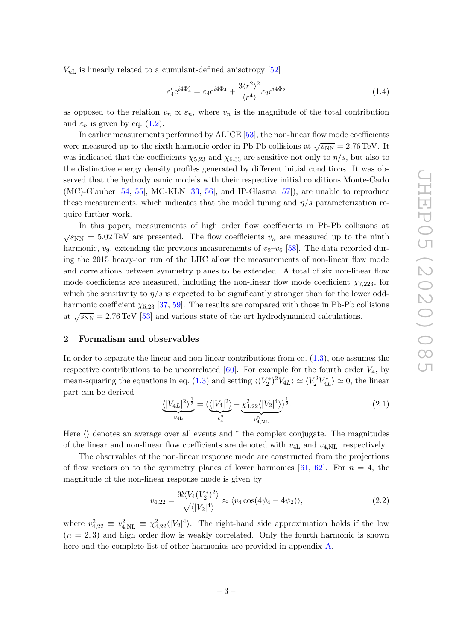$V_{nL}$  is linearly related to a cumulant-defined anisotropy [52]

$$
\varepsilon_4' e^{i4\Phi_4'} = \varepsilon_4 e^{i4\Phi_4} + \frac{3\langle r^2 \rangle^2}{\langle r^4 \rangle} \varepsilon_2 e^{i4\Phi_2} \tag{1.4}
$$

as opposed to the relation  $v_n \propto \varepsilon_n$ , where  $v_n$  is the magnitude of the total contribution and  $\varepsilon_n$  is given by eq. (1.2).

In earlier measurements performed by ALICE [53], the non-linear flow mode coefficients were measured up to the sixth harmonic order in Pb-Pb collisions at  $\sqrt{s_{NN}} = 2.76 \,\text{TeV}$ . It was indicated that the coefficients  $\chi_{5,23}$  and  $\chi_{6,33}$  are sensitive not only to  $\eta/s$ , but also to the distinctive energy density profiles generated by different initial conditions. It was observed that the hydrodynamic models with their respective initial conditions Monte-Carlo (MC)-Glauber [54, 55], MC-KLN [33, 56], and IP-Glasma [57]), are unable to reproduce these measurements, which indicates that the model tuning and  $\eta/s$  parameterization require further work.

In this paper, measurements of high order flow coefficients in Pb-Pb collisions at  $\sqrt{s_{NN}} = 5.02 \,\text{TeV}$  are presented. The flow coefficients  $v_n$  are measured up to the ninth harmonic,  $v_9$ , extending the previous measurements of  $v_2-v_6$  [58]. The data recorded during the 2015 heavy-ion run of the LHC allow the measurements of non-linear flow mode and correlations between symmetry planes to be extended. A total of six non-linear flow mode coefficients are measured, including the non-linear flow mode coefficient  $\chi_{7,223}$ , for which the sensitivity to  $\eta/s$  is expected to be significantly stronger than for the lower oddharmonic coefficient  $\chi_{5,23}$  [37, 59]. The results are compared with those in Pb-Pb collisions at  $\sqrt{s_{NN}} = 2.76 \,\text{TeV}$  [53] and various state of the art hydrodynamical calculations.

#### 2 Formalism and observables

In order to separate the linear and non-linear contributions from eq. (1.3), one assumes the respective contributions to be uncorrelated  $[60]$ . For example for the fourth order  $V_4$ , by mean-squaring the equations in eq. (1.3) and setting  $\langle (V_2^*)^2 V_{4L} \rangle \simeq \langle V_2^2 V_{4L}^* \rangle \simeq 0$ , the linear part can be derived

$$
\underbrace{\langle |V_{4L}|^2 \rangle^{\frac{1}{2}}}_{v_{4L}} = \underbrace{\langle |V_4|^2 \rangle}_{v_4^2} - \underbrace{\chi_{4,22}^2 \langle |V_2|^4 \rangle}_{v_{4,\text{NL}}^2}^{\frac{1}{2}}.
$$
\n(2.1)

Here  $\langle \rangle$  denotes an average over all events and  $^*$  the complex conjugate. The magnitudes of the linear and non-linear flow coefficients are denoted with  $v_{4L}$  and  $v_{4,NL}$ , respectively.

The observables of the non-linear response mode are constructed from the projections of flow vectors on to the symmetry planes of lower harmonics [61, 62]. For  $n = 4$ , the magnitude of the non-linear response mode is given by

$$
v_{4,22} = \frac{\Re \langle V_4 (V_2^*)^2 \rangle}{\sqrt{\langle |V_2|^4 \rangle}} \approx \langle v_4 \cos(4\psi_4 - 4\psi_2) \rangle, \tag{2.2}
$$

where  $v_{4,22}^2 \equiv v_{4,\text{NL}}^2 \equiv \chi_{4,22}^2 \langle |V_2|^4 \rangle$ . The right-hand side approximation holds if the low  $(n = 2, 3)$  and high order flow is weakly correlated. Only the fourth harmonic is shown here and the complete list of other harmonics are provided in appendix A.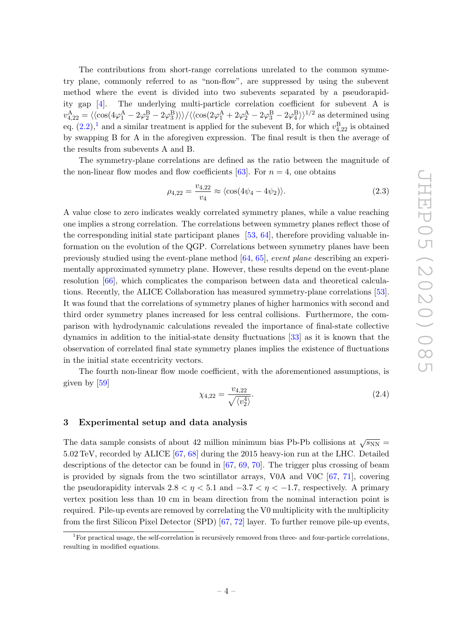The contributions from short-range correlations unrelated to the common symmetry plane, commonly referred to as "non-flow", are suppressed by using the subevent method where the event is divided into two subevents separated by a pseudorapidity gap [4]. The underlying multi-particle correlation coefficient for subevent A is  $v_{4,22}^{\text{A}} = \langle \langle \cos(4\varphi_1^{\text{A}} - 2\varphi_2^{\text{B}} - 2\varphi_3^{\text{B}}) \rangle \rangle / \langle \langle \cos(2\varphi_1^{\text{A}} + 2\varphi_2^{\text{A}} - 2\varphi_3^{\text{B}} - 2\varphi_4^{\text{B}} \rangle \rangle^{1/2}$  as determined using eq.  $(2.2)$ ,<sup>1</sup> and a similar treatment is applied for the subevent B, for which  $v_{4,22}^{\text{B}}$  is obtained by swapping B for A in the aforegiven expression. The final result is then the average of the results from subevents A and B.

The symmetry-plane correlations are defined as the ratio between the magnitude of the non-linear flow modes and flow coefficients  $[63]$ . For  $n = 4$ , one obtains

$$
\rho_{4,22} = \frac{v_{4,22}}{v_4} \approx \langle \cos(4\psi_4 - 4\psi_2) \rangle.
$$
 (2.3)

A value close to zero indicates weakly correlated symmetry planes, while a value reaching one implies a strong correlation. The correlations between symmetry planes reflect those of the corresponding initial state participant planes [53, 64], therefore providing valuable information on the evolution of the QGP. Correlations between symmetry planes have been previously studied using the event-plane method [64, 65], event plane describing an experimentally approximated symmetry plane. However, these results depend on the event-plane resolution [66], which complicates the comparison between data and theoretical calculations. Recently, the ALICE Collaboration has measured symmetry-plane correlations [53]. It was found that the correlations of symmetry planes of higher harmonics with second and third order symmetry planes increased for less central collisions. Furthermore, the comparison with hydrodynamic calculations revealed the importance of final-state collective dynamics in addition to the initial-state density fluctuations [33] as it is known that the observation of correlated final state symmetry planes implies the existence of fluctuations in the initial state eccentricity vectors.

The fourth non-linear flow mode coefficient, with the aforementioned assumptions, is given by [59]

$$
\chi_{4,22} = \frac{v_{4,22}}{\sqrt{\langle v_2^4 \rangle}}.\tag{2.4}
$$

#### 3 Experimental setup and data analysis

The data sample consists of about 42 million minimum bias Pb-Pb collisions at  $\sqrt{s_{NN}}$  = 5.02 TeV, recorded by ALICE [67, 68] during the 2015 heavy-ion run at the LHC. Detailed descriptions of the detector can be found in [67, 69, 70]. The trigger plus crossing of beam is provided by signals from the two scintillator arrays, V0A and V0C  $[67, 71]$ , covering the pseudorapidity intervals  $2.8 < \eta < 5.1$  and  $-3.7 < \eta < -1.7$ , respectively. A primary vertex position less than 10 cm in beam direction from the nominal interaction point is required. Pile-up events are removed by correlating the V0 multiplicity with the multiplicity from the first Silicon Pixel Detector (SPD) [67, 72] layer. To further remove pile-up events,

<sup>&</sup>lt;sup>1</sup>For practical usage, the self-correlation is recursively removed from three- and four-particle correlations, resulting in modified equations.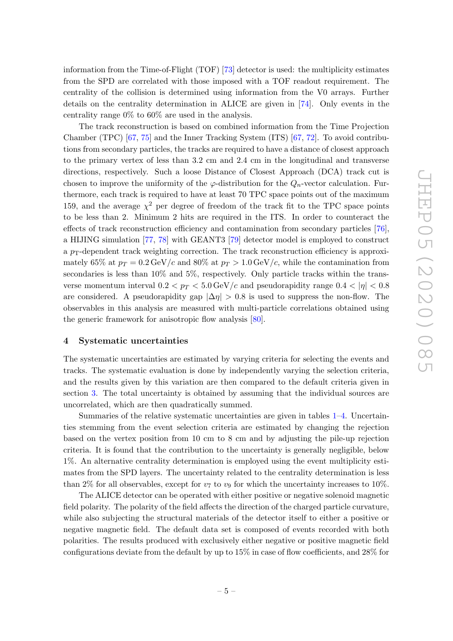information from the Time-of-Flight (TOF) [73] detector is used: the multiplicity estimates from the SPD are correlated with those imposed with a TOF readout requirement. The centrality of the collision is determined using information from the V0 arrays. Further details on the centrality determination in ALICE are given in [74]. Only events in the centrality range  $0\%$  to  $60\%$  are used in the analysis.

The track reconstruction is based on combined information from the Time Projection Chamber (TPC) [67, 75] and the Inner Tracking System (ITS) [67, 72]. To avoid contributions from secondary particles, the tracks are required to have a distance of closest approach to the primary vertex of less than 3.2 cm and 2.4 cm in the longitudinal and transverse directions, respectively. Such a loose Distance of Closest Approach (DCA) track cut is chosen to improve the uniformity of the  $\varphi$ -distribution for the  $Q_n$ -vector calculation. Furthermore, each track is required to have at least 70 TPC space points out of the maximum 159, and the average  $\chi^2$  per degree of freedom of the track fit to the TPC space points to be less than 2. Minimum 2 hits are required in the ITS. In order to counteract the effects of track reconstruction efficiency and contamination from secondary particles [76], a HIJING simulation [77, 78] with GEANT3 [79] detector model is employed to construct a  $p<sub>T</sub>$ -dependent track weighting correction. The track reconstruction efficiency is approximately 65% at  $p_T = 0.2 \,\text{GeV}/c$  and 80% at  $p_T > 1.0 \,\text{GeV}/c$ , while the contamination from secondaries is less than 10% and 5%, respectively. Only particle tracks within the transverse momentum interval  $0.2 < p_T < 5.0$  GeV/c and pseudorapidity range  $0.4 < |\eta| < 0.8$ are considered. A pseudorapidity gap  $|\Delta \eta| > 0.8$  is used to suppress the non-flow. The observables in this analysis are measured with multi-particle correlations obtained using the generic framework for anisotropic flow analysis [80].

#### 4 Systematic uncertainties

The systematic uncertainties are estimated by varying criteria for selecting the events and tracks. The systematic evaluation is done by independently varying the selection criteria, and the results given by this variation are then compared to the default criteria given in section 3. The total uncertainty is obtained by assuming that the individual sources are uncorrelated, which are then quadratically summed.

Summaries of the relative systematic uncertainties are given in tables 1–4. Uncertainties stemming from the event selection criteria are estimated by changing the rejection based on the vertex position from 10 cm to 8 cm and by adjusting the pile-up rejection criteria. It is found that the contribution to the uncertainty is generally negligible, below 1%. An alternative centrality determination is employed using the event multiplicity estimates from the SPD layers. The uncertainty related to the centrality determination is less than 2% for all observables, except for  $v_7$  to  $v_9$  for which the uncertainty increases to 10%.

The ALICE detector can be operated with either positive or negative solenoid magnetic field polarity. The polarity of the field affects the direction of the charged particle curvature, while also subjecting the structural materials of the detector itself to either a positive or negative magnetic field. The default data set is composed of events recorded with both polarities. The results produced with exclusively either negative or positive magnetic field configurations deviate from the default by up to 15% in case of flow coefficients, and 28% for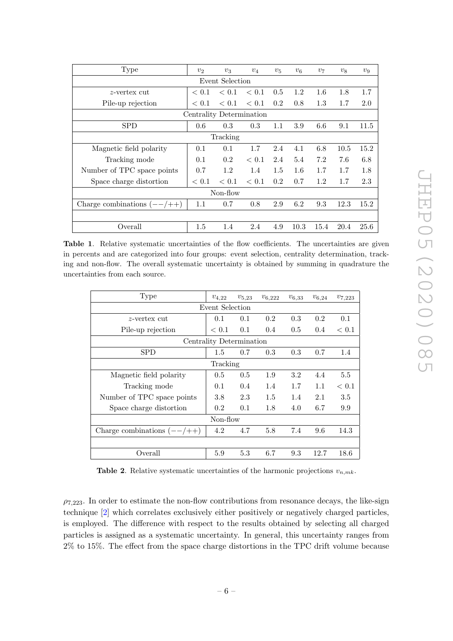| Type                          | v <sub>2</sub>           | $v_3$ | $v_4$ | $v_{5}$ | $v_{6}$ | $v_7$ | $v_8$ | $v_{9}$ |  |
|-------------------------------|--------------------------|-------|-------|---------|---------|-------|-------|---------|--|
| Event Selection               |                          |       |       |         |         |       |       |         |  |
| $z$ -vertex cut               | < 0.1                    | < 0.1 | < 0.1 | 0.5     | 1.2     | 1.6   | 1.8   | 1.7     |  |
| Pile-up rejection             | < 0.1                    | < 0.1 | < 0.1 | 0.2     | 0.8     | 1.3   | 1.7   | 2.0     |  |
|                               | Centrality Determination |       |       |         |         |       |       |         |  |
| <b>SPD</b>                    | 0.6                      | 0.3   | 0.3   | $1.1\,$ | 3.9     | 6.6   | 9.1   | 11.5    |  |
| Tracking                      |                          |       |       |         |         |       |       |         |  |
| Magnetic field polarity       | 0.1                      | 0.1   | 1.7   | 2.4     | 4.1     | 6.8   | 10.5  | 15.2    |  |
| Tracking mode                 | 0.1                      | 0.2   | < 0.1 | 2.4     | 5.4     | 7.2   | 7.6   | 6.8     |  |
| Number of TPC space points    | 0.7                      | 1.2   | 1.4   | 1.5     | 1.6     | 1.7   | 1.7   | 1.8     |  |
| Space charge distortion       | < 0.1                    | < 0.1 | < 0.1 | 0.2     | 0.7     | 1.2   | 1.7   | 2.3     |  |
| Non-flow                      |                          |       |       |         |         |       |       |         |  |
| Charge combinations $(--/++)$ | 1.1                      | 0.7   | 0.8   | 2.9     | 6.2     | 9.3   | 12.3  | 15.2    |  |
|                               |                          |       |       |         |         |       |       |         |  |
| Overall                       | 1.5                      | 1.4   | 2.4   | 4.9     | 10.3    | 15.4  | 20.4  | 25.6    |  |

Table 1. Relative systematic uncertainties of the flow coefficients. The uncertainties are given in percents and are categorized into four groups: event selection, centrality determination, tracking and non-flow. The overall systematic uncertainty is obtained by summing in quadrature the uncertainties from each source.

| Type                          | $v_{4,22}$ | $v_{5,23}$    | $v_{6,222}$ | $v_{6,33}$ | $v_{6,24}$    | $v_{7,223}$ |  |  |
|-------------------------------|------------|---------------|-------------|------------|---------------|-------------|--|--|
| Event Selection               |            |               |             |            |               |             |  |  |
| $z$ -vertex cut               | 0.1        | 0.1           | 0.2         | 0.3        | 0.2           | 0.1         |  |  |
| Pile-up rejection             | < 0.1      | 0.1           | 0.4         | 0.5        | $0.4^{\circ}$ | < 0.1       |  |  |
| Centrality Determination      |            |               |             |            |               |             |  |  |
| SPD                           | $1.5\,$    | 0.7           | 0.3         | 0.3        | 0.7           | 1.4         |  |  |
| Tracking                      |            |               |             |            |               |             |  |  |
| Magnetic field polarity       | 0.5        | $0.5^{\circ}$ | 1.9         | 3.2        | 4.4           | 5.5         |  |  |
| Tracking mode                 | 0.1        | 0.4           | 1.4         | 1.7        | 1.1           | < 0.1       |  |  |
| Number of TPC space points    | 3.8        | 2.3           | 1.5         | 1.4        | 2.1           | 3.5         |  |  |
| Space charge distortion       | 0.2        | 0.1           | 1.8         | 4.0        | 6.7           | 9.9         |  |  |
| Non-flow                      |            |               |             |            |               |             |  |  |
| Charge combinations $(--/++)$ | 4.2        | 4.7           | 5.8         | 7.4        | 9.6           | 14.3        |  |  |
|                               |            |               |             |            |               |             |  |  |
| Overall                       | 5.9        | 5.3           | 6.7         | 9.3        | 12.7          | 18.6        |  |  |

Table 2. Relative systematic uncertainties of the harmonic projections  $v_{n,mk}$ .

 $\rho_{7,223}$ . In order to estimate the non-flow contributions from resonance decays, the like-sign technique [2] which correlates exclusively either positively or negatively charged particles, is employed. The difference with respect to the results obtained by selecting all charged particles is assigned as a systematic uncertainty. In general, this uncertainty ranges from 2% to 15%. The effect from the space charge distortions in the TPC drift volume because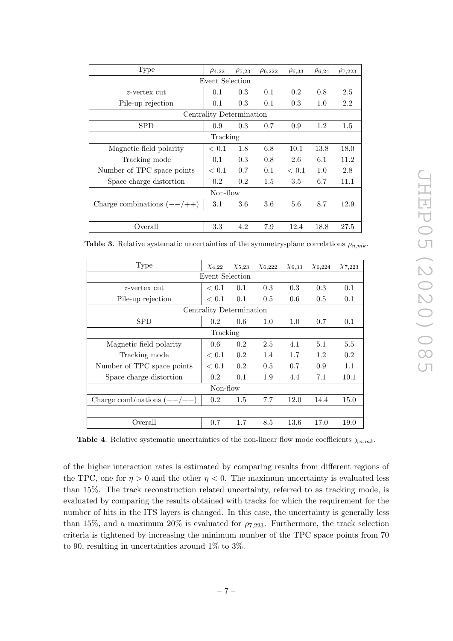| Type                          | $\rho_{4,22}$ | $\rho_{5,23}$ | $\rho_{6,222}$ | $\rho_{6,33}$ | $\rho_{6,24}$ | $\rho_{7,223}$ |  |  |
|-------------------------------|---------------|---------------|----------------|---------------|---------------|----------------|--|--|
| Event Selection               |               |               |                |               |               |                |  |  |
| $z$ -vertex cut               | 0.1           | 0.3           | 0.1            | 0.2           | 0.8           | 2.5            |  |  |
| Pile-up rejection             | 0.1           | 0.3           | 0.1            | 0.3           | 1.0           | 2.2            |  |  |
| Centrality Determination      |               |               |                |               |               |                |  |  |
| <b>SPD</b>                    | 0.9           | 0.3           | 0.7            | 0.9           | 1.2           | $1.5\,$        |  |  |
| Tracking                      |               |               |                |               |               |                |  |  |
| Magnetic field polarity       | < 0.1         | 1.8           | 6.8            | 10.1          | 13.8          | 18.0           |  |  |
| Tracking mode                 | 0.1           | 0.3           | 0.8            | 2.6           | 6.1           | 11.2           |  |  |
| Number of TPC space points    | < 0.1         | 0.7           | 0.1            | < 0.1         | 1.0           | 2.8            |  |  |
| Space charge distortion       | 0.2           | 0.2           | 1.5            | 3.5           | 6.7           | 11.1           |  |  |
| Non-flow                      |               |               |                |               |               |                |  |  |
| Charge combinations $(--/++)$ | 3.1           | 3.6           | 3.6            | 5.6           | 8.7           | 12.9           |  |  |
|                               |               |               |                |               |               |                |  |  |
| Overall                       | 3.3           | 4.2           | 7.9            | 12.4          | 18.8          | 27.5           |  |  |

**Table 3.** Relative systematic uncertainties of the symmetry-plane correlations  $\rho_{n,mk}$ .

| Type                          | $\chi_{4,22}$ | $\chi_{5,23}$ | $\chi_{6,222}$ | $\chi_{6,33}$ | $\chi_{6,224}$ | X7,223           |  |  |
|-------------------------------|---------------|---------------|----------------|---------------|----------------|------------------|--|--|
| Event Selection               |               |               |                |               |                |                  |  |  |
| $z$ -vertex cut               | < 0.1         | 0.1           | 0.3            | 0.3           | 0.3            | 0.1              |  |  |
| Pile-up rejection             | < 0.1         | 0.1           | $0.5^{\circ}$  | 0.6           | $0.5^{\circ}$  | 0.1              |  |  |
| Centrality Determination      |               |               |                |               |                |                  |  |  |
| <b>SPD</b>                    | 0.2           | 0.6           | 1.0            | 1.0           | 0.7            | 0.1              |  |  |
| Tracking                      |               |               |                |               |                |                  |  |  |
| Magnetic field polarity       | 0.6           | 0.2           | 2.5            | 4.1           | 5.1            | 5.5              |  |  |
| Tracking mode                 | < 0.1         | 0.2           | 1.4            | 1.7           | 1.2            | 0.2 <sup>2</sup> |  |  |
| Number of TPC space points    | < 0.1         | 0.2           | $0.5^{\circ}$  | 0.7           | 0.9            | 1.1              |  |  |
| Space charge distortion       | 0.2           | 0.1           | 1.9            | 4.4           | 7.1            | 10.1             |  |  |
| Non-flow                      |               |               |                |               |                |                  |  |  |
| Charge combinations $(--/++)$ | 0.2           | $1.5\,$       | 7.7            | 12.0          | 14.4           | 15.0             |  |  |
|                               |               |               |                |               |                |                  |  |  |
| Overall                       | 0.7           | $1.7\,$       | 8.5            | 13.6          | 17.0           | 19.0             |  |  |

**Table 4.** Relative systematic uncertainties of the non-linear flow mode coefficients  $\chi_{n,mk}$ .

of the higher interaction rates is estimated by comparing results from different regions of the TPC, one for  $\eta > 0$  and the other  $\eta < 0$ . The maximum uncertainty is evaluated less than 15%. The track reconstruction related uncertainty, referred to as tracking mode, is evaluated by comparing the results obtained with tracks for which the requirement for the number of hits in the ITS layers is changed. In this case, the uncertainty is generally less than 15%, and a maximum 20% is evaluated for  $\rho_{7,223}$ . Furthermore, the track selection criteria is tightened by increasing the minimum number of the TPC space points from 70 to 90, resulting in uncertainties around 1% to 3%.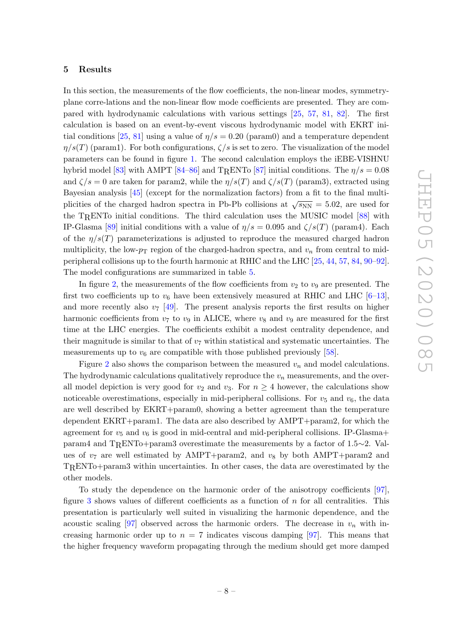#### 5 Results

In this section, the measurements of the flow coefficients, the non-linear modes, symmetryplane corre-lations and the non-linear flow mode coefficients are presented. They are compared with hydrodynamic calculations with various settings [25, 57, 81, 82]. The first calculation is based on an event-by-event viscous hydrodynamic model with EKRT initial conditions [25, 81] using a value of  $\eta/s = 0.20$  (param0) and a temperature dependent  $\eta/s(T)$  (param1). For both configurations,  $\zeta/s$  is set to zero. The visualization of the model parameters can be found in figure 1. The second calculation employs the iEBE-VISHNU hybrid model [83] with AMPT [84–86] and TRENTo [87] initial conditions. The  $\eta/s = 0.08$ and  $\zeta/s = 0$  are taken for param2, while the  $\eta/s(T)$  and  $\zeta/s(T)$  (param3), extracted using Bayesian analysis [45] (except for the normalization factors) from a fit to the final multiplicities of the charged hadron spectra in Pb-Pb collisions at  $\sqrt{s_{NN}} = 5.02$ , are used for the TRENTo initial conditions. The third calculation uses the MUSIC model [88] with IP-Glasma [89] initial conditions with a value of  $\eta/s = 0.095$  and  $\zeta/s(T)$  (param4). Each of the  $\eta/s(T)$  parameterizations is adjusted to reproduce the measured charged hadron multiplicity, the low- $p_T$  region of the charged-hadron spectra, and  $v_n$  from central to midperipheral collisions up to the fourth harmonic at RHIC and the LHC [25, 44, 57, 84, 90–92]. The model configurations are summarized in table 5.

In figure 2, the measurements of the flow coefficients from  $v_2$  to  $v_9$  are presented. The first two coefficients up to  $v_6$  have been extensively measured at RHIC and LHC  $[6-13]$ , and more recently also  $v_7$  [49]. The present analysis reports the first results on higher harmonic coefficients from  $v_7$  to  $v_9$  in ALICE, where  $v_8$  and  $v_9$  are measured for the first time at the LHC energies. The coefficients exhibit a modest centrality dependence, and their magnitude is similar to that of  $v_7$  within statistical and systematic uncertainties. The measurements up to  $v_6$  are compatible with those published previously [58].

Figure 2 also shows the comparison between the measured  $v_n$  and model calculations. The hydrodynamic calculations qualitatively reproduce the  $v_n$  measurements, and the overall model depiction is very good for  $v_2$  and  $v_3$ . For  $n \geq 4$  however, the calculations show noticeable overestimations, especially in mid-peripheral collisions. For  $v_5$  and  $v_6$ , the data are well described by EKRT+param0, showing a better agreement than the temperature dependent EKRT+param1. The data are also described by AMPT+param2, for which the agreement for  $v_5$  and  $v_6$  is good in mid-central and mid-peripheral collisions. IP-Glasma+ param4 and TRENTo+param3 overestimate the measurements by a factor of 1.5∼2. Values of  $v_7$  are well estimated by AMPT+param2, and  $v_8$  by both AMPT+param2 and TRENTo+param3 within uncertainties. In other cases, the data are overestimated by the other models.

To study the dependence on the harmonic order of the anisotropy coefficients [97], figure 3 shows values of different coefficients as a function of  $n$  for all centralities. This presentation is particularly well suited in visualizing the harmonic dependence, and the acoustic scaling [97] observed across the harmonic orders. The decrease in  $v_n$  with increasing harmonic order up to  $n = 7$  indicates viscous damping [97]. This means that the higher frequency waveform propagating through the medium should get more damped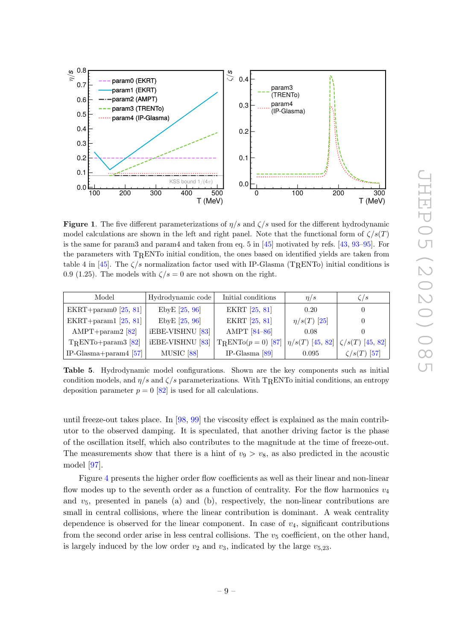

**Figure 1.** The five different parameterizations of  $\eta/s$  and  $\zeta/s$  used for the different hydrodynamic model calculations are shown in the left and right panel. Note that the functional form of  $\zeta/s(T)$ is the same for param3 and param4 and taken from eq. 5 in [45] motivated by refs. [43, 93–95]. For the parameters with TRENTo initial condition, the ones based on identified yields are taken from table 4 in [45]. The  $\zeta/s$  normalization factor used with IP-Glasma (TRENTo) initial conditions is 0.9 (1.25). The models with  $\zeta/s = 0$  are not shown on the right.

| Model                                          | Hydrodynamic code | Initial conditions            | $\eta/s$             | $\zeta/s$             |
|------------------------------------------------|-------------------|-------------------------------|----------------------|-----------------------|
| EKRT+param $0$ [25, 81]                        | EbyE [25, 96]     | EKRT [25, 81]                 | 0.20                 |                       |
| EKRT+param1 $[25, 81]$                         | EbyE [25, 96]     | EKRT [25, 81]                 | $\eta/s(T)$ [25]     |                       |
| $AMPT + param2$ [82]                           | iEBE-VISHNU [83]  | AMPT [84-86]                  | 0.08                 |                       |
| $T$ <sub>R</sub> ENT <sub>0</sub> +param3 [82] | iEBE-VISHNU [83]  | $T_{\rm R}$ ENTo $(p=0)$ [87] | $\eta/s(T)$ [45, 82] | $\zeta/s(T)$ [45, 82] |
| IP-Glasma+param4 [57]                          | MUSIC [88]        | IP-Glasma $[89]$              | 0.095                | $\zeta/s(T)$ [57]     |

Table 5. Hydrodynamic model configurations. Shown are the key components such as initial condition models, and  $\eta/s$  and  $\zeta/s$  parameterizations. With TRENTo initial conditions, an entropy deposition parameter  $p = 0$  [82] is used for all calculations.

until freeze-out takes place. In [98, 99] the viscosity effect is explained as the main contributor to the observed damping. It is speculated, that another driving factor is the phase of the oscillation itself, which also contributes to the magnitude at the time of freeze-out. The measurements show that there is a hint of  $v_9 > v_8$ , as also predicted in the acoustic model [97].

Figure 4 presents the higher order flow coefficients as well as their linear and non-linear flow modes up to the seventh order as a function of centrality. For the flow harmonics  $v_4$ and  $v_5$ , presented in panels (a) and (b), respectively, the non-linear contributions are small in central collisions, where the linear contribution is dominant. A weak centrality dependence is observed for the linear component. In case of  $v_4$ , significant contributions from the second order arise in less central collisions. The  $v<sub>5</sub>$  coefficient, on the other hand, is largely induced by the low order  $v_2$  and  $v_3$ , indicated by the large  $v_{5,23}$ .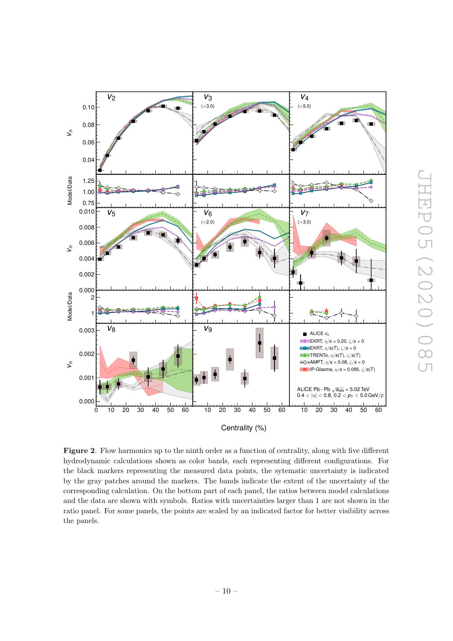

Figure 2. Flow harmonics up to the ninth order as a function of centrality, along with five different hydrodynamic calculations shown as color bands, each representing different configurations. For the black markers representing the measured data points, the sytematic uncertainty is indicated by the gray patches around the markers. The bands indicate the extent of the uncertainty of the corresponding calculation. On the bottom part of each panel, the ratios between model calculations and the data are shown with symbols. Ratios with uncertainties larger than 1 are not shown in the ratio panel. For some panels, the points are scaled by an indicated factor for better visibility across the panels.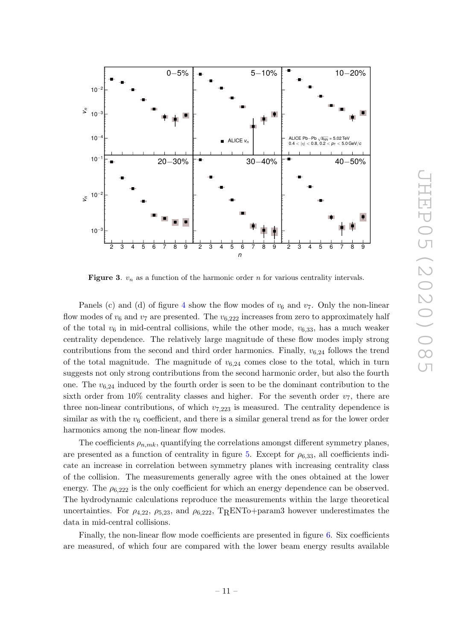

**Figure 3.**  $v_n$  as a function of the harmonic order n for various centrality intervals.

Panels (c) and (d) of figure 4 show the flow modes of  $v_6$  and  $v_7$ . Only the non-linear flow modes of  $v_6$  and  $v_7$  are presented. The  $v_{6,222}$  increases from zero to approximately half of the total  $v_6$  in mid-central collisions, while the other mode,  $v_{6,33}$ , has a much weaker centrality dependence. The relatively large magnitude of these flow modes imply strong contributions from the second and third order harmonics. Finally,  $v_{6,24}$  follows the trend of the total magnitude. The magnitude of  $v_{6,24}$  comes close to the total, which in turn suggests not only strong contributions from the second harmonic order, but also the fourth one. The  $v_{6,24}$  induced by the fourth order is seen to be the dominant contribution to the sixth order from 10% centrality classes and higher. For the seventh order  $v_7$ , there are three non-linear contributions, of which  $v_{7,223}$  is measured. The centrality dependence is similar as with the  $v_6$  coefficient, and there is a similar general trend as for the lower order harmonics among the non-linear flow modes.

The coefficients  $\rho_{n,mk}$ , quantifying the correlations amongst different symmetry planes, are presented as a function of centrality in figure 5. Except for  $\rho_{6,33}$ , all coefficients indicate an increase in correlation between symmetry planes with increasing centrality class of the collision. The measurements generally agree with the ones obtained at the lower energy. The  $\rho_{6,222}$  is the only coefficient for which an energy dependence can be observed. The hydrodynamic calculations reproduce the measurements within the large theoretical uncertainties. For  $\rho_{4,22}$ ,  $\rho_{5,23}$ , and  $\rho_{6,222}$ , T<sub>R</sub>ENTo+param3 however underestimates the data in mid-central collisions.

Finally, the non-linear flow mode coefficients are presented in figure 6. Six coefficients are measured, of which four are compared with the lower beam energy results available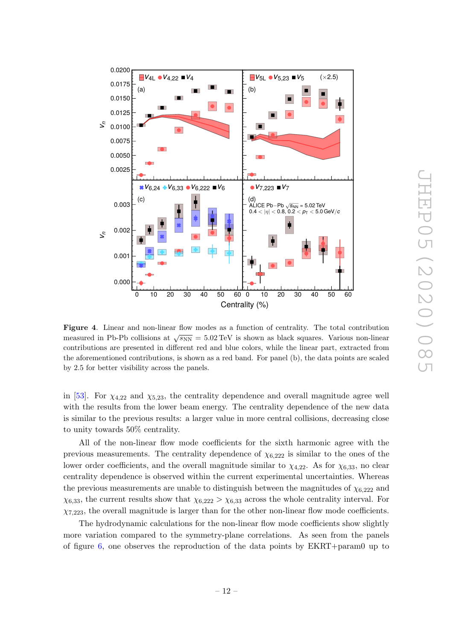

Figure 4. Linear and non-linear flow modes as a function of centrality. The total contribution measured in Pb-Pb collisions at  $\sqrt{s_{NN}} = 5.02 \,\text{TeV}$  is shown as black squares. Various non-linear contributions are presented in different red and blue colors, while the linear part, extracted from the aforementioned contributions, is shown as a red band. For panel (b), the data points are scaled by 2.5 for better visibility across the panels.

in [53]. For  $\chi_{4,22}$  and  $\chi_{5,23}$ , the centrality dependence and overall magnitude agree well with the results from the lower beam energy. The centrality dependence of the new data is similar to the previous results: a larger value in more central collisions, decreasing close to unity towards 50% centrality.

All of the non-linear flow mode coefficients for the sixth harmonic agree with the previous measurements. The centrality dependence of  $\chi_{6,222}$  is similar to the ones of the lower order coefficients, and the overall magnitude similar to  $\chi_{4,22}$ . As for  $\chi_{6,33}$ , no clear centrality dependence is observed within the current experimental uncertainties. Whereas the previous measurements are unable to distinguish between the magnitudes of  $\chi_{6.222}$  and  $\chi_{6,33}$ , the current results show that  $\chi_{6,222} > \chi_{6,33}$  across the whole centrality interval. For  $\chi_{7,223}$ , the overall magnitude is larger than for the other non-linear flow mode coefficients.

The hydrodynamic calculations for the non-linear flow mode coefficients show slightly more variation compared to the symmetry-plane correlations. As seen from the panels of figure 6, one observes the reproduction of the data points by  $EKRT+param0$  up to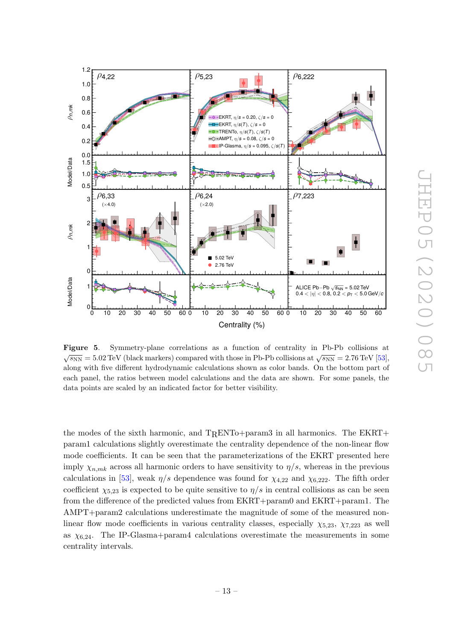

Figure 5. Symmetry-plane correlations as a function of centrality in Pb-Pb collisions at  $\sqrt{s_{NN}} = 5.02 \text{ TeV}$  (black markers) compared with those in Pb-Pb collisions at  $\sqrt{s_{NN}} = 2.76 \text{ TeV}$  [53], along with five different hydrodynamic calculations shown as color bands. On the bottom part of each panel, the ratios between model calculations and the data are shown. For some panels, the data points are scaled by an indicated factor for better visibility.

the modes of the sixth harmonic, and TRENTo+param3 in all harmonics. The EKRT+ param1 calculations slightly overestimate the centrality dependence of the non-linear flow mode coefficients. It can be seen that the parameterizations of the EKRT presented here imply  $\chi_{n,mk}$  across all harmonic orders to have sensitivity to  $\eta/s$ , whereas in the previous calculations in [53], weak  $\eta/s$  dependence was found for  $\chi_{4,22}$  and  $\chi_{6,222}$ . The fifth order coefficient  $\chi_{5,23}$  is expected to be quite sensitive to  $\eta/s$  in central collisions as can be seen from the difference of the predicted values from EKRT+param0 and EKRT+param1. The AMPT+param2 calculations underestimate the magnitude of some of the measured nonlinear flow mode coefficients in various centrality classes, especially  $\chi_{5,23}$ ,  $\chi_{7,223}$  as well as  $\chi_{6,24}$ . The IP-Glasma+param4 calculations overestimate the measurements in some centrality intervals.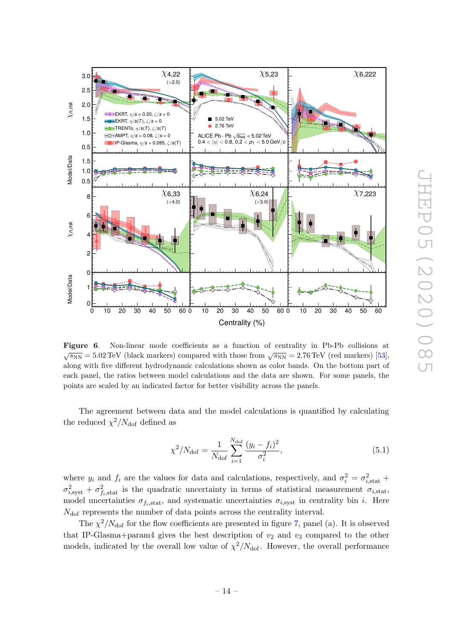

Figure 6. Non-linear mode coefficients as a function of centrality in Pb-Pb collisions at  $\sqrt{s_{NN}} = 5.02 \,\text{TeV}$  (black markers) compared with those from  $\sqrt{s_{NN}} = 2.76 \,\text{TeV}$  (red markers) [53], along with five different hydrodynamic calculations shown as color bands. On the bottom part of each panel, the ratios between model calculations and the data are shown. For some panels, the points are scaled by an indicated factor for better visibility across the panels.

The agreement between data and the model calculations is quantified by calculating the reduced  $\chi^2/N_{\rm dof}$  defined as

$$
\chi^2/N_{\rm dof} = \frac{1}{N_{\rm dof}} \sum_{i=1}^{N_{\rm dof}} \frac{(y_i - f_i)^2}{\sigma_i^2},\tag{5.1}
$$

where  $y_i$  and  $f_i$  are the values for data and calculations, respectively, and  $\sigma_i^2 = \sigma_{i,\text{stat}}^2 + \sigma_{i,\text{stat}}^2$  $\sigma_{i,\text{syst}}^2 + \sigma_{f_i,\text{stat}}^2$  is the quadratic uncertainty in terms of statistical measurement  $\sigma_{i,\text{stat}}$ , model uncertainties  $\sigma_{f_i, \text{stat}}$ , and systematic uncertainties  $\sigma_{i, \text{syst}}$  in centrality bin i. Here  $N_{\text{dof}}$  represents the number of data points across the centrality interval.

The  $\chi^2/N_{\text{dof}}$  for the flow coefficients are presented in figure 7, panel (a). It is observed that IP-Glasma+param4 gives the best description of  $v_2$  and  $v_3$  compared to the other models, indicated by the overall low value of  $\chi^2/N_{\text{dof}}$ . However, the overall performance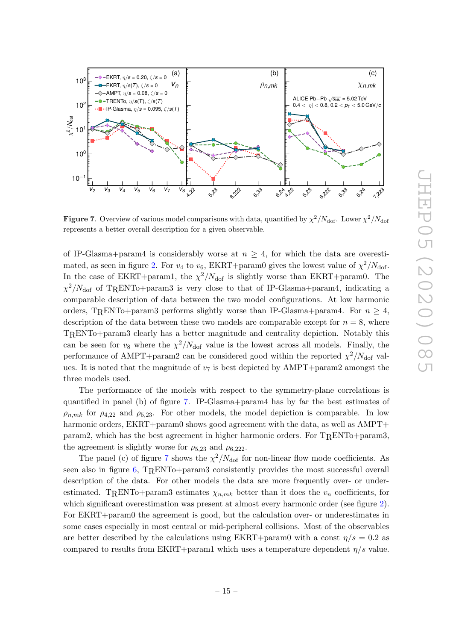

**Figure 7**. Overview of various model comparisons with data, quantified by  $\chi^2/N_\text{dof}$ . Lower  $\chi^2/N_\text{dof}$ represents a better overall description for a given observable.

of IP-Glasma+param4 is considerably worse at  $n \geq 4$ , for which the data are overestimated, as seen in figure 2. For  $v_4$  to  $v_6$ , EKRT+param0 gives the lowest value of  $\chi^2/N_{\text{dof}}$ . In the case of EKRT+param1, the  $\chi^2/N_{\text{dof}}$  is slightly worse than EKRT+param0. The  $\chi^2/N_{\text{dof}}$  of TRENTo+param3 is very close to that of IP-Glasma+param4, indicating a comparable description of data between the two model configurations. At low harmonic orders, TRENTo+param3 performs slightly worse than IP-Glasma+param4. For  $n \geq 4$ , description of the data between these two models are comparable except for  $n = 8$ , where TRENTo+param3 clearly has a better magnitude and centrality depiction. Notably this can be seen for  $v_8$  where the  $\chi^2/N_{\text{dof}}$  value is the lowest across all models. Finally, the performance of AMPT+param2 can be considered good within the reported  $\chi^2/N_{\text{dof}}$  values. It is noted that the magnitude of  $v_7$  is best depicted by AMPT+param2 amongst the three models used.

The performance of the models with respect to the symmetry-plane correlations is quantified in panel (b) of figure 7. IP-Glasma+param4 has by far the best estimates of  $\rho_{n,mk}$  for  $\rho_{4,22}$  and  $\rho_{5,23}$ . For other models, the model depiction is comparable. In low harmonic orders,  $EKRT + \text{param0 shows good agreement with the data, as well as AMPT+$ param2, which has the best agreement in higher harmonic orders. For TRENTo+param3, the agreement is slightly worse for  $\rho_{5,23}$  and  $\rho_{6,222}$ .

The panel (c) of figure 7 shows the  $\chi^2/N_{\text{dof}}$  for non-linear flow mode coefficients. As seen also in figure 6, TRENTo+param3 consistently provides the most successful overall description of the data. For other models the data are more frequently over- or underestimated. TRENTo+param3 estimates  $\chi_{n,mk}$  better than it does the  $v_n$  coefficients, for which significant overestimation was present at almost every harmonic order (see figure 2). For EKRT+param0 the agreement is good, but the calculation over- or underestimates in some cases especially in most central or mid-peripheral collisions. Most of the observables are better described by the calculations using EKRT+param0 with a const  $\eta/s = 0.2$  as compared to results from EKRT+param1 which uses a temperature dependent  $\eta/s$  value.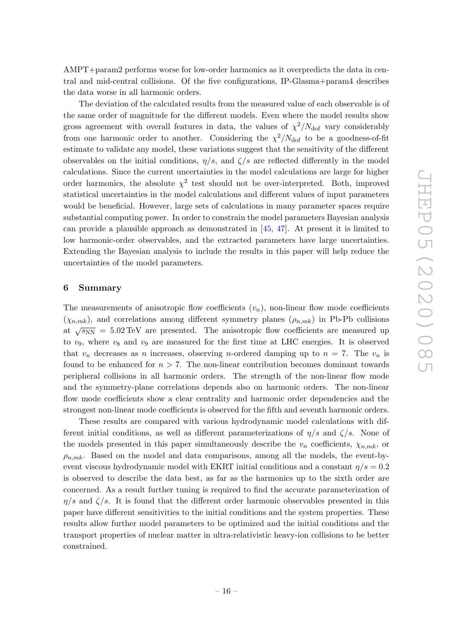AMPT+param2 performs worse for low-order harmonics as it overpredicts the data in central and mid-central collisions. Of the five configurations, IP-Glasma+param4 describes the data worse in all harmonic orders.

The deviation of the calculated results from the measured value of each observable is of the same order of magnitude for the different models. Even where the model results show gross agreement with overall features in data, the values of  $\chi^2/N_{\text{dof}}$  vary considerably from one harmonic order to another. Considering the  $\chi^2/N_{\text{dof}}$  to be a goodness-of-fit estimate to validate any model, these variations suggest that the sensitivity of the different observables on the initial conditions,  $\eta/s$ , and  $\zeta/s$  are reflected differently in the model calculations. Since the current uncertainties in the model calculations are large for higher order harmonics, the absolute  $\chi^2$  test should not be over-interpreted. Both, improved statistical uncertainties in the model calculations and different values of input parameters would be beneficial. However, large sets of calculations in many parameter spaces require substantial computing power. In order to constrain the model parameters Bayesian analysis can provide a plausible approach as demonstrated in [45, 47]. At present it is limited to low harmonic-order observables, and the extracted parameters have large uncertainties. Extending the Bayesian analysis to include the results in this paper will help reduce the uncertainties of the model parameters.

#### 6 Summary

The measurements of anisotropic flow coefficients  $(v_n)$ , non-linear flow mode coefficients  $(\chi_{n,mk})$ , and correlations among different symmetry planes  $(\rho_{n,mk})$  in Pb-Pb collisions at  $\sqrt{s_{NN}} = 5.02 \,\text{TeV}$  are presented. The anisotropic flow coefficients are measured up to  $v_9$ , where  $v_8$  and  $v_9$  are measured for the first time at LHC energies. It is observed that  $v_n$  decreases as n increases, observing n-ordered damping up to  $n = 7$ . The  $v_n$  is found to be enhanced for  $n > 7$ . The non-linear contribution becomes dominant towards peripheral collisions in all harmonic orders. The strength of the non-linear flow mode and the symmetry-plane correlations depends also on harmonic orders. The non-linear flow mode coefficients show a clear centrality and harmonic order dependencies and the strongest non-linear mode coefficients is observed for the fifth and seventh harmonic orders.

These results are compared with various hydrodynamic model calculations with different initial conditions, as well as different parameterizations of  $\eta/s$  and  $\zeta/s$ . None of the models presented in this paper simultaneously describe the  $v_n$  coefficients,  $\chi_{n,mk}$ , or  $\rho_{n,mk}$ . Based on the model and data comparisons, among all the models, the event-byevent viscous hydrodynamic model with EKRT initial conditions and a constant  $\eta/s = 0.2$ is observed to describe the data best, as far as the harmonics up to the sixth order are concerned. As a result further tuning is required to find the accurate parameterization of  $\eta/s$  and  $\zeta/s$ . It is found that the different order harmonic observables presented in this paper have different sensitivities to the initial conditions and the system properties. These results allow further model parameters to be optimized and the initial conditions and the transport properties of nuclear matter in ultra-relativistic heavy-ion collisions to be better constrained.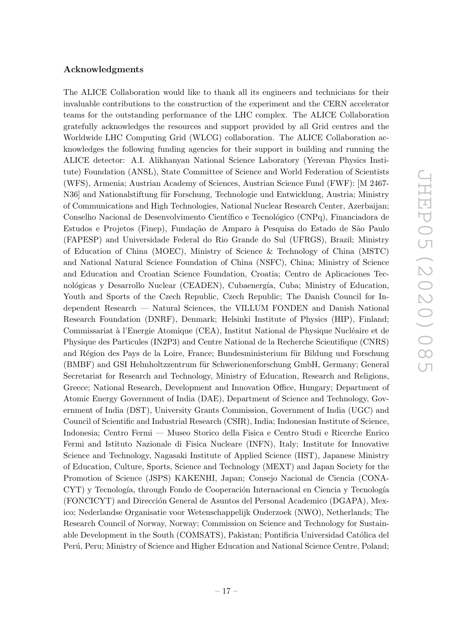#### Acknowledgments

The ALICE Collaboration would like to thank all its engineers and technicians for their invaluable contributions to the construction of the experiment and the CERN accelerator teams for the outstanding performance of the LHC complex. The ALICE Collaboration gratefully acknowledges the resources and support provided by all Grid centres and the Worldwide LHC Computing Grid (WLCG) collaboration. The ALICE Collaboration acknowledges the following funding agencies for their support in building and running the ALICE detector: A.I. Alikhanyan National Science Laboratory (Yerevan Physics Institute) Foundation (ANSL), State Committee of Science and World Federation of Scientists (WFS), Armenia; Austrian Academy of Sciences, Austrian Science Fund (FWF): [M 2467- N36] and Nationalstiftung für Forschung, Technologie und Entwicklung, Austria; Ministry of Communications and High Technologies, National Nuclear Research Center, Azerbaijan; Conselho Nacional de Desenvolvimento Científico e Tecnológico (CNPq), Financiadora de Estudos e Projetos (Finep), Fundação de Amparo à Pesquisa do Estado de São Paulo (FAPESP) and Universidade Federal do Rio Grande do Sul (UFRGS), Brazil; Ministry of Education of China (MOEC), Ministry of Science & Technology of China (MSTC) and National Natural Science Foundation of China (NSFC), China; Ministry of Science and Education and Croatian Science Foundation, Croatia; Centro de Aplicaciones Tecnológicas y Desarrollo Nuclear (CEADEN), Cubaenergía, Cuba; Ministry of Education, Youth and Sports of the Czech Republic, Czech Republic; The Danish Council for Independent Research — Natural Sciences, the VILLUM FONDEN and Danish National Research Foundation (DNRF), Denmark; Helsinki Institute of Physics (HIP), Finland; Commissariat à l'Energie Atomique (CEA), Institut National de Physique Nucléaire et de Physique des Particules (IN2P3) and Centre National de la Recherche Scientifique (CNRS) and Région des Pays de la Loire, France; Bundesministerium für Bildung und Forschung (BMBF) and GSI Helmholtzzentrum für Schwerionenforschung GmbH, Germany; General Secretariat for Research and Technology, Ministry of Education, Research and Religions, Greece; National Research, Development and Innovation Office, Hungary; Department of Atomic Energy Government of India (DAE), Department of Science and Technology, Government of India (DST), University Grants Commission, Government of India (UGC) and Council of Scientific and Industrial Research (CSIR), India; Indonesian Institute of Science, Indonesia; Centro Fermi — Museo Storico della Fisica e Centro Studi e Ricerche Enrico Fermi and Istituto Nazionale di Fisica Nucleare (INFN), Italy; Institute for Innovative Science and Technology, Nagasaki Institute of Applied Science (IIST), Japanese Ministry of Education, Culture, Sports, Science and Technology (MEXT) and Japan Society for the Promotion of Science (JSPS) KAKENHI, Japan; Consejo Nacional de Ciencia (CONA-CYT) y Tecnología, through Fondo de Cooperación Internacional en Ciencia y Tecnología (FONCICYT) and Dirección General de Asuntos del Personal Academico (DGAPA), Mexico; Nederlandse Organisatie voor Wetenschappelijk Onderzoek (NWO), Netherlands; The Research Council of Norway, Norway; Commission on Science and Technology for Sustainable Development in the South (COMSATS), Pakistan; Pontificia Universidad Católica del Perú, Peru; Ministry of Science and Higher Education and National Science Centre, Poland;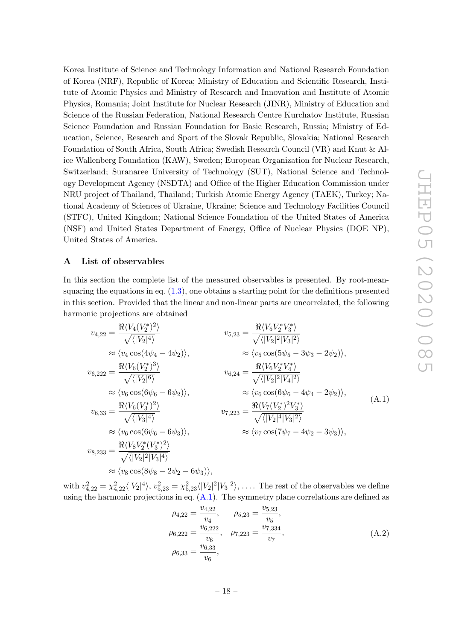Korea Institute of Science and Technology Information and National Research Foundation of Korea (NRF), Republic of Korea; Ministry of Education and Scientific Research, Institute of Atomic Physics and Ministry of Research and Innovation and Institute of Atomic Physics, Romania; Joint Institute for Nuclear Research (JINR), Ministry of Education and Science of the Russian Federation, National Research Centre Kurchatov Institute, Russian Science Foundation and Russian Foundation for Basic Research, Russia; Ministry of Education, Science, Research and Sport of the Slovak Republic, Slovakia; National Research Foundation of South Africa, South Africa; Swedish Research Council (VR) and Knut & Alice Wallenberg Foundation (KAW), Sweden; European Organization for Nuclear Research, Switzerland; Suranaree University of Technology (SUT), National Science and Technology Development Agency (NSDTA) and Office of the Higher Education Commission under NRU project of Thailand, Thailand; Turkish Atomic Energy Agency (TAEK), Turkey; National Academy of Sciences of Ukraine, Ukraine; Science and Technology Facilities Council (STFC), United Kingdom; National Science Foundation of the United States of America (NSF) and United States Department of Energy, Office of Nuclear Physics (DOE NP), United States of America.

#### A List of observables

In this section the complete list of the measured observables is presented. By root-meansquaring the equations in eq.  $(1.3)$ , one obtains a starting point for the definitions presented in this section. Provided that the linear and non-linear parts are uncorrelated, the following harmonic projections are obtained

$$
v_{4,22} = \frac{\Re \langle V_4 (V_2^*)^2 \rangle}{\sqrt{\langle |V_2|^4 \rangle}} \qquad v_{5,23} = \frac{\Re \langle V_5 V_2^* V_3^* \rangle}{\sqrt{\langle |V_2|^2 |V_3|^2 \rangle}} \n\approx \langle v_4 \cos(4\psi_4 - 4\psi_2) \rangle, \qquad\approx \langle v_5 \cos(5\psi_5 - 3\psi_3 - 2\psi_2) \rangle, \n v_{6,222} = \frac{\Re \langle V_6 (V_2^*)^3 \rangle}{\sqrt{\langle |V_2|^6 \rangle}} \qquad v_{6,24} = \frac{\Re \langle V_6 V_2^* V_4^* \rangle}{\sqrt{\langle |V_2|^2 |V_4|^2 \rangle}} \n\approx \langle v_6 \cos(6\psi_6 - 6\psi_2) \rangle, \qquad\approx \langle v_6 \cos(6\psi_6 - 4\psi_4 - 2\psi_2) \rangle, \n v_{6,33} = \frac{\Re \langle V_6 (V_3^*)^2 \rangle}{\sqrt{\langle |V_3|^4 \rangle}} \qquad v_{7,223} = \frac{\Re \langle V_7 (V_2^*)^2 V_3^* \rangle}{\sqrt{\langle |V_2|^4 |V_3|^2 \rangle}} \n\approx \langle v_6 \cos(6\psi_6 - 6\psi_3) \rangle, \qquad\approx \langle v_7 \cos(7\psi_7 - 4\psi_2 - 3\psi_3) \rangle, \n v_{8,233} = \frac{\Re \langle V_8 V_2^* (V_3^*)^2 \rangle}{\sqrt{\langle |V_2|^2 |V_3|^4 \rangle}} \n\approx \langle v_8 \cos(8\psi_8 - 2\psi_2 - 6\psi_3) \rangle,
$$
\n(A.1)

with  $v_{4,22}^2 = \chi_{4,22}^2 \langle |V_2|^4 \rangle$ ,  $v_{5,23}^2 = \chi_{5,23}^2 \langle |V_2|^2 |V_3|^2 \rangle$ , .... The rest of the observables we define using the harmonic projections in eq. (A.1). The symmetry plane correlations are defined as

$$
\rho_{4,22} = \frac{v_{4,22}}{v_4}, \qquad \rho_{5,23} = \frac{v_{5,23}}{v_5},
$$
  
\n
$$
\rho_{6,222} = \frac{v_{6,222}}{v_6}, \qquad \rho_{7,223} = \frac{v_{7,334}}{v_7},
$$
  
\n
$$
\rho_{6,33} = \frac{v_{6,33}}{v_6},
$$
\n(A.2)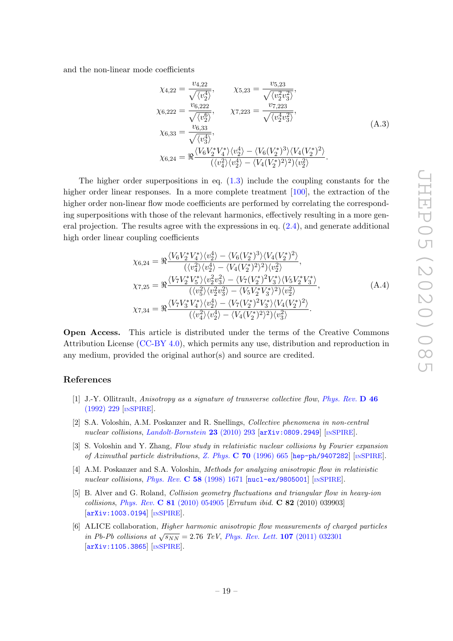and the non-linear mode coefficients

$$
\chi_{4,22} = \frac{v_{4,22}}{\sqrt{\langle v_2^4 \rangle}}, \qquad \chi_{5,23} = \frac{v_{5,23}}{\sqrt{\langle v_2^2 v_3^2 \rangle}},
$$
  
\n
$$
\chi_{6,222} = \frac{v_{6,222}}{\sqrt{\langle v_2^6 \rangle}}, \qquad \chi_{7,223} = \frac{v_{7,223}}{\sqrt{\langle v_2^4 v_3^2 \rangle}},
$$
  
\n
$$
\chi_{6,33} = \frac{v_{6,33}}{\sqrt{\langle v_3^4 \rangle}},
$$
  
\n
$$
\chi_{6,24} = \Re \frac{\langle V_6 V_2^* V_4^* \rangle \langle v_2^4 \rangle - \langle V_6 (V_2^*)^3 \rangle \langle V_4 (V_2^*)^2 \rangle}{(\langle v_4^2 \rangle \langle v_2^4 \rangle - \langle V_4 (V_2^*)^2 \rangle^2) \langle v_2^2 \rangle}.
$$
\n(A.3)

The higher order superpositions in eq.  $(1.3)$  include the coupling constants for the higher order linear responses. In a more complete treatment [100], the extraction of the higher order non-linear flow mode coefficients are performed by correlating the corresponding superpositions with those of the relevant harmonics, effectively resulting in a more general projection. The results agree with the expressions in eq. (2.4), and generate additional high order linear coupling coefficients

$$
\chi_{6,24} = \Re \frac{\langle V_6 V_2^* V_4^* \rangle \langle v_2^4 \rangle - \langle V_6 (V_2^*)^3 \rangle \langle V_4 (V_2^*)^2 \rangle}{(\langle v_4^2 \rangle \langle v_2^4 \rangle - \langle V_4 (V_2^*)^2 \rangle^2) \langle v_2^2 \rangle},
$$
\n
$$
\chi_{7,25} = \Re \frac{\langle V_7 V_2^* V_5^* \rangle \langle v_2^2 v_3^2 \rangle - \langle V_7 (V_2^*)^2 V_3^* \rangle \langle V_5 V_2^* V_3^* \rangle}{(\langle v_5^2 \rangle \langle v_2^2 v_3^2 \rangle - \langle V_5 V_2^* V_3^* \rangle^2) \langle v_2^2 \rangle},
$$
\n
$$
\chi_{7,34} = \Re \frac{\langle V_7 V_3^* V_4^* \rangle \langle v_2^4 \rangle - \langle V_7 (V_2^*)^2 V_3^* \rangle \langle V_4 (V_2^*)^2 \rangle}{(\langle v_4^2 \rangle \langle v_2^4 \rangle - \langle V_4 (V_2^*)^2 \rangle^2) \langle v_3^2 \rangle}.
$$
\n(A.4)

Open Access. This article is distributed under the terms of the Creative Commons Attribution License [\(CC-BY 4.0\)](https://creativecommons.org/licenses/by/4.0/), which permits any use, distribution and reproduction in any medium, provided the original author(s) and source are credited.

#### References

- [1] J.-Y. Ollitrault, Anisotropy as a signature of transverse collective flow, [Phys. Rev.](https://doi.org/10.1103/PhysRevD.46.229) D 46 [\(1992\) 229](https://doi.org/10.1103/PhysRevD.46.229) [IN[SPIRE](https://inspirehep.net/search?p=find+J+%22Phys.Rev.,D46,229%22)].
- [2] S.A. Voloshin, A.M. Poskanzer and R. Snellings, Collective phenomena in non-central nuclear collisions, [Landolt-Bornstein](https://doi.org/10.1007/978-3-642-01539-7_10)  $23$  (2010) 293 [[arXiv:0809.2949](https://arxiv.org/abs/0809.2949)] [IN[SPIRE](https://inspirehep.net/search?p=find+EPRINT+arXiv:0809.2949)].
- [3] S. Voloshin and Y. Zhang, Flow study in relativistic nuclear collisions by Fourier expansion of Azimuthal particle distributions, Z. Phys. C 70 [\(1996\) 665](https://doi.org/10.1007/s002880050141) [[hep-ph/9407282](https://arxiv.org/abs/hep-ph/9407282)] [IN[SPIRE](https://inspirehep.net/search?p=find+EPRINT+hep-ph/9407282)].
- [4] A.M. Poskanzer and S.A. Voloshin, Methods for analyzing anisotropic flow in relativistic nuclear collisions, Phys. Rev.  $C$  58 [\(1998\) 1671](https://doi.org/10.1103/PhysRevC.58.1671)  $[nuc1-ex/9805001]$   $[nSPIRE]$  $[nSPIRE]$  $[nSPIRE]$ .
- [5] B. Alver and G. Roland, Collision geometry fluctuations and triangular flow in heavy-ion collisions, Phys. Rev. C 81 [\(2010\) 054905](https://doi.org/10.1103/PhysRevC.82.039903) [Erratum ibid. C 82 (2010) 039903] [[arXiv:1003.0194](https://arxiv.org/abs/1003.0194)] [IN[SPIRE](https://inspirehep.net/search?p=find+EPRINT+arXiv:1003.0194)].
- [6] ALICE collaboration, Higher harmonic anisotropic flow measurements of charged particles in Pb-Pb collisions at  $\sqrt{s_{NN}} = 2.76$  TeV, [Phys. Rev. Lett.](https://doi.org/10.1103/PhysRevLett.107.032301) 107 (2011) 032301 [[arXiv:1105.3865](https://arxiv.org/abs/1105.3865)] [IN[SPIRE](https://inspirehep.net/search?p=find+EPRINT+arXiv:1105.3865)].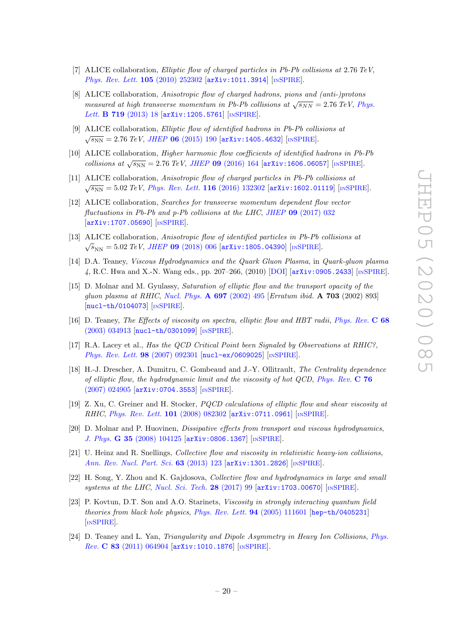- [7] ALICE collaboration, Elliptic flow of charged particles in Pb-Pb collisions at 2.76 TeV, [Phys. Rev. Lett.](https://doi.org/10.1103/PhysRevLett.105.252302) 105 (2010) 252302 [[arXiv:1011.3914](https://arxiv.org/abs/1011.3914)] [IN[SPIRE](https://inspirehep.net/search?p=find+EPRINT+arXiv:1011.3914)].
- [8] ALICE collaboration, Anisotropic flow of charged hadrons, pions and (anti-)protons measured at high transverse momentum in Pb-Pb collisions at  $\sqrt{s_{NN}} = 2.76 \text{ TeV}$ , [Phys.](https://doi.org/10.1016/j.physletb.2012.12.066) Lett. **B 719** [\(2013\) 18](https://doi.org/10.1016/j.physletb.2012.12.066) [[arXiv:1205.5761](https://arxiv.org/abs/1205.5761)] [IN[SPIRE](https://inspirehep.net/search?p=find+EPRINT+arXiv:1205.5761)].
- [9] ALICE collaboration, Elliptic flow of identified hadrons in Pb-Pb collisions at  $\sqrt{s_{NN}} = 2.76 \text{ TeV}, \text{ JHEP } 06 \text{ (2015) } 190 \text{ [arXiv:1405.4632] } \text{ [INSPIRE]}.$  $\sqrt{s_{NN}} = 2.76 \text{ TeV}, \text{ JHEP } 06 \text{ (2015) } 190 \text{ [arXiv:1405.4632] } \text{ [INSPIRE]}.$  $\sqrt{s_{NN}} = 2.76 \text{ TeV}, \text{ JHEP } 06 \text{ (2015) } 190 \text{ [arXiv:1405.4632] } \text{ [INSPIRE]}.$  $\sqrt{s_{NN}} = 2.76 \text{ TeV}, \text{ JHEP } 06 \text{ (2015) } 190 \text{ [arXiv:1405.4632] } \text{ [INSPIRE]}.$  $\sqrt{s_{NN}} = 2.76 \text{ TeV}, \text{ JHEP } 06 \text{ (2015) } 190 \text{ [arXiv:1405.4632] } \text{ [INSPIRE]}.$
- [10] ALICE collaboration, Higher harmonic flow coefficients of identified hadrons in Pb-Pb collisions at  $\sqrt{s_{NN}} = 2.76 \text{ TeV}$ , JHEP 09 [\(2016\) 164](https://doi.org/10.1007/JHEP09(2016)164) [[arXiv:1606.06057](https://arxiv.org/abs/1606.06057)] [IN[SPIRE](https://inspirehep.net/search?p=find+EPRINT+arXiv:1606.06057)].
- [11] ALICE collaboration, Anisotropic flow of charged particles in Pb-Pb collisions at  $\sqrt{s_{NN}} = 5.02 \; TeV$ , *[Phys. Rev. Lett.](https://doi.org/10.1103/PhysRevLett.116.132302)* **116** (2016) 132302 [[arXiv:1602.01119](https://arxiv.org/abs/1602.01119)] [IN[SPIRE](https://inspirehep.net/search?p=find+EPRINT+arXiv:1602.01119)].
- [12] ALICE collaboration, Searches for transverse momentum dependent flow vector fluctuations in Pb-Pb and p-Pb collisions at the LHC, JHEP 09 [\(2017\) 032](https://doi.org/10.1007/JHEP09(2017)032) [[arXiv:1707.05690](https://arxiv.org/abs/1707.05690)] [IN[SPIRE](https://inspirehep.net/search?p=find+EPRINT+arXiv:1707.05690)].
- [13] ALICE collaboration, Anisotropic flow of identified particles in Pb-Pb collisions at  $\sqrt{s}_{\rm NN} = 5.02 \; TeV, \; JHEP$  09 [\(2018\) 006](https://doi.org/10.1007/JHEP09(2018)006) [[arXiv:1805.04390](https://arxiv.org/abs/1805.04390)] [IN[SPIRE](https://inspirehep.net/search?p=find+EPRINT+arXiv:1805.04390)].
- [14] D.A. Teaney, Viscous Hydrodynamics and the Quark Gluon Plasma, in Quark-gluon plasma 4, R.C. Hwa and X.-N. Wang eds., pp. 207–266, (2010) [\[DOI\]](https://doi.org/10.1142/9789814293297_0004) [[arXiv:0905.2433](https://arxiv.org/abs/0905.2433)] [IN[SPIRE](https://inspirehep.net/search?p=find+EPRINT+arXiv:0905.2433)].
- [15] D. Molnar and M. Gyulassy, Saturation of elliptic flow and the transport opacity of the gluon plasma at RHIC, [Nucl. Phys.](https://doi.org/10.1016/S0375-9474(01)01224-6) A 697 (2002) 495 [Erratum ibid. A 703 (2002) 893] [[nucl-th/0104073](https://arxiv.org/abs/nucl-th/0104073)] [IN[SPIRE](https://inspirehep.net/search?p=find+EPRINT+nucl-th/0104073)].
- [16] D. Teaney, The Effects of viscosity on spectra, elliptic flow and HBT radii, [Phys. Rev.](https://doi.org/10.1103/PhysRevC.68.034913) C 68 [\(2003\) 034913](https://doi.org/10.1103/PhysRevC.68.034913) [[nucl-th/0301099](https://arxiv.org/abs/nucl-th/0301099)] [IN[SPIRE](https://inspirehep.net/search?p=find+EPRINT+nucl-th/0301099)].
- [17] R.A. Lacey et al., Has the QCD Critical Point been Signaled by Observations at RHIC?, [Phys. Rev. Lett.](https://doi.org/10.1103/PhysRevLett.98.092301) 98 (2007) 092301 [[nucl-ex/0609025](https://arxiv.org/abs/nucl-ex/0609025)] [IN[SPIRE](https://inspirehep.net/search?p=find+EPRINT+nucl-ex/0609025)].
- [18] H.-J. Drescher, A. Dumitru, C. Gombeaud and J.-Y. Ollitrault, The Centrality dependence of elliptic flow, the hydrodynamic limit and the viscosity of hot QCD, [Phys. Rev.](https://doi.org/10.1103/PhysRevC.76.024905)  $C$  76 [\(2007\) 024905](https://doi.org/10.1103/PhysRevC.76.024905) [[arXiv:0704.3553](https://arxiv.org/abs/0704.3553)] [IN[SPIRE](https://inspirehep.net/search?p=find+EPRINT+arXiv:0704.3553)].
- [19] Z. Xu, C. Greiner and H. Stocker, PQCD calculations of elliptic flow and shear viscosity at RHIC, [Phys. Rev. Lett.](https://doi.org/10.1103/PhysRevLett.101.082302) 101 (2008) 082302 [arXiv: 0711.0961] [IN[SPIRE](https://inspirehep.net/search?p=find+EPRINT+arXiv:0711.0961)].
- [20] D. Molnar and P. Huovinen, Dissipative effects from transport and viscous hydrodynamics, J. Phys. G 35 [\(2008\) 104125](https://doi.org/10.1088/0954-3899/35/10/104125) [[arXiv:0806.1367](https://arxiv.org/abs/0806.1367)] [IN[SPIRE](https://inspirehep.net/search?p=find+EPRINT+arXiv:0806.1367)].
- [21] U. Heinz and R. Snellings, Collective flow and viscosity in relativistic heavy-ion collisions, [Ann. Rev. Nucl. Part. Sci.](https://doi.org/10.1146/annurev-nucl-102212-170540) 63 (2013) 123 [arXiv: 1301.2826] [IN[SPIRE](https://inspirehep.net/search?p=find+EPRINT+arXiv:1301.2826)].
- [22] H. Song, Y. Zhou and K. Gajdosova, Collective flow and hydrodynamics in large and small systems at the LHC, [Nucl. Sci. Tech.](https://doi.org/10.1007/s41365-017-0245-4)  $28$  (2017) 99 [[arXiv:1703.00670](https://arxiv.org/abs/1703.00670)] [IN[SPIRE](https://inspirehep.net/search?p=find+EPRINT+arXiv:1703.00670)].
- [23] P. Kovtun, D.T. Son and A.O. Starinets, Viscosity in strongly interacting quantum field theories from black hole physics, [Phys. Rev. Lett.](https://doi.org/10.1103/PhysRevLett.94.111601) 94 (2005) 111601 [[hep-th/0405231](https://arxiv.org/abs/hep-th/0405231)] [IN[SPIRE](https://inspirehep.net/search?p=find+EPRINT+hep-th/0405231)].
- [24] D. Teaney and L. Yan, Triangularity and Dipole Asymmetry in Heavy Ion Collisions, [Phys.](https://doi.org/10.1103/PhysRevC.83.064904) Rev. C 83 [\(2011\) 064904](https://doi.org/10.1103/PhysRevC.83.064904) [[arXiv:1010.1876](https://arxiv.org/abs/1010.1876)] [IN[SPIRE](https://inspirehep.net/search?p=find+EPRINT+arXiv:1010.1876)].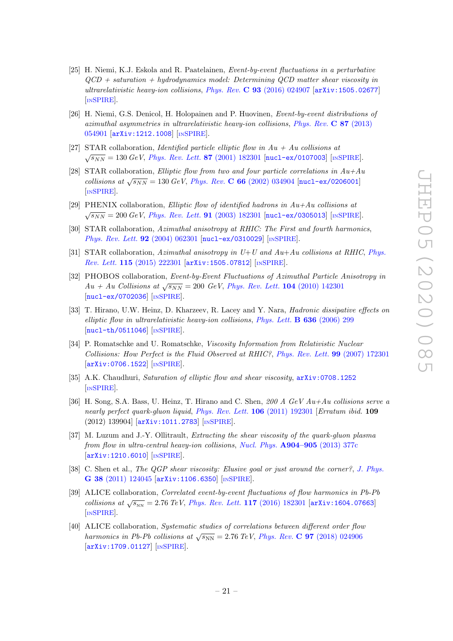- [25] H. Niemi, K.J. Eskola and R. Paatelainen, Event-by-event fluctuations in a perturbative  $QCD + saturation + hydrodynamics model: Determining QCD matter shear viscosity in$ ultrarelativistic heavy-ion collisions, Phys. Rev.  $C$  93 [\(2016\) 024907](https://doi.org/10.1103/PhysRevC.93.024907) [[arXiv:1505.02677](https://arxiv.org/abs/1505.02677)] [IN[SPIRE](https://inspirehep.net/search?p=find+EPRINT+arXiv:1505.02677)].
- [26] H. Niemi, G.S. Denicol, H. Holopainen and P. Huovinen, Event-by-event distributions of azimuthal asymmetries in ultrarelativistic heavy-ion collisions, [Phys. Rev.](https://doi.org/10.1103/PhysRevC.87.054901)  $C 87 (2013)$ [054901](https://doi.org/10.1103/PhysRevC.87.054901) [[arXiv:1212.1008](https://arxiv.org/abs/1212.1008)] [IN[SPIRE](https://inspirehep.net/search?p=find+EPRINT+arXiv:1212.1008)].
- [27] STAR collaboration, *Identified particle elliptic flow in Au + Au collisions at*  $\sqrt{s_{NN}} = 130 \text{ GeV},$  [Phys. Rev. Lett.](https://doi.org/10.1103/PhysRevLett.87.182301) 87 (2001) 182301 [[nucl-ex/0107003](https://arxiv.org/abs/nucl-ex/0107003)] [IN[SPIRE](https://inspirehep.net/search?p=find+EPRINT+nucl-ex/0107003)].
- [28] STAR collaboration, *Elliptic flow from two and four particle correlations in*  $Au+Au$ collisions at  $\sqrt{s_{NN}} = 130 \text{ GeV}$ , Phys. Rev. C 66 [\(2002\) 034904](https://doi.org/10.1103/PhysRevC.66.034904) [[nucl-ex/0206001](https://arxiv.org/abs/nucl-ex/0206001)] [IN[SPIRE](https://inspirehep.net/search?p=find+EPRINT+nucl-ex/0206001)].
- [29] PHENIX collaboration, *Elliptic flow of identified hadrons in Au+Au collisions at*  $\sqrt{s_{NN}} = 200 \text{ GeV},$  [Phys. Rev. Lett.](https://doi.org/10.1103/PhysRevLett.91.182301) **91** (2003) 182301 [[nucl-ex/0305013](https://arxiv.org/abs/nucl-ex/0305013)] [IN[SPIRE](https://inspirehep.net/search?p=find+EPRINT+nucl-ex/0305013)].
- [30] STAR collaboration, Azimuthal anisotropy at RHIC: The First and fourth harmonics, [Phys. Rev. Lett.](https://doi.org/10.1103/PhysRevLett.92.062301) **92** (2004) 062301  $\text{[nuc1-ex/0310029]}$   $\text{[nSPIRE]}$  $\text{[nSPIRE]}$  $\text{[nSPIRE]}$ .
- [31] STAR collaboration, Azimuthal anisotropy in  $U+U$  and  $Au+Au$  collisions at RHIC, [Phys.](https://doi.org/10.1103/PhysRevLett.115.222301) Rev. Lett. 115 [\(2015\) 222301](https://doi.org/10.1103/PhysRevLett.115.222301) [[arXiv:1505.07812](https://arxiv.org/abs/1505.07812)] [IN[SPIRE](https://inspirehep.net/search?p=find+EPRINT+arXiv:1505.07812)].
- [32] PHOBOS collaboration, Event-by-Event Fluctuations of Azimuthal Particle Anisotropy in  $Au + Au$  Collisions at  $\sqrt{s_{NN}} = 200$  GeV, [Phys. Rev. Lett.](https://doi.org/10.1103/PhysRevLett.104.142301) 104 (2010) 142301 [[nucl-ex/0702036](https://arxiv.org/abs/nucl-ex/0702036)] [IN[SPIRE](https://inspirehep.net/search?p=find+EPRINT+nucl-ex/0702036)].
- [33] T. Hirano, U.W. Heinz, D. Kharzeev, R. Lacey and Y. Nara, *Hadronic dissipative effects on* elliptic flow in ultrarelativistic heavy-ion collisions, [Phys. Lett.](https://doi.org/10.1016/j.physletb.2006.03.060) B 636 (2006) 299 [[nucl-th/0511046](https://arxiv.org/abs/nucl-th/0511046)] [IN[SPIRE](https://inspirehep.net/search?p=find+EPRINT+nucl-th/0511046)].
- [34] P. Romatschke and U. Romatschke, Viscosity Information from Relativistic Nuclear Collisions: How Perfect is the Fluid Observed at RHIC?, [Phys. Rev. Lett.](https://doi.org/10.1103/PhysRevLett.99.172301) 99 (2007) 172301 [[arXiv:0706.1522](https://arxiv.org/abs/0706.1522)] [IN[SPIRE](https://inspirehep.net/search?p=find+EPRINT+arXiv:0706.1522)].
- [35] A.K. Chaudhuri, Saturation of elliptic flow and shear viscosity,  $arXiv:0708.1252$ [IN[SPIRE](https://inspirehep.net/search?p=find+EPRINT+arXiv:0708.1252)].
- [36] H. Song, S.A. Bass, U. Heinz, T. Hirano and C. Shen,  $200 \text{ A } GeV \text{ A}u + Au$  collisions serve a nearly perfect quark-gluon liquid, [Phys. Rev. Lett.](https://doi.org/10.1103/PhysRevLett.106.192301) 106 (2011) 192301 [Erratum ibid. 109 (2012) 139904] [[arXiv:1011.2783](https://arxiv.org/abs/1011.2783)] [IN[SPIRE](https://inspirehep.net/search?p=find+EPRINT+arXiv:1011.2783)].
- [37] M. Luzum and J.-Y. Ollitrault, Extracting the shear viscosity of the quark-gluon plasma from flow in ultra-central heavy-ion collisions, Nucl. Phys. A904-905 [\(2013\) 377c](https://doi.org/10.1016/j.nuclphysa.2013.02.028)  $\left[$ [arXiv:1210.6010](https://arxiv.org/abs/1210.6010) $\right]$  $\left[$ IN[SPIRE](https://inspirehep.net/search?p=find+EPRINT+arXiv:1210.6010) $\right]$ .
- [38] C. Shen et al., The QGP shear viscosity: Elusive goal or just around the corner?, [J. Phys.](https://doi.org/10.1088/0954-3899/38/12/124045) G 38 [\(2011\) 124045](https://doi.org/10.1088/0954-3899/38/12/124045) [[arXiv:1106.6350](https://arxiv.org/abs/1106.6350)] [IN[SPIRE](https://inspirehep.net/search?p=find+EPRINT+arXiv:1106.6350)].
- [39] ALICE collaboration, Correlated event-by-event fluctuations of flow harmonics in Pb-Pb collisions at  $\sqrt{s_{_{\rm NN}}}$  = 2.76 TeV, [Phys. Rev. Lett.](https://doi.org/10.1103/PhysRevLett.117.182301) 117 (2016) 182301 [[arXiv:1604.07663](https://arxiv.org/abs/1604.07663)] [IN[SPIRE](https://inspirehep.net/search?p=find+EPRINT+arXiv:1604.07663)].
- [40] ALICE collaboration, Systematic studies of correlations between different order flow harmonics in Pb-Pb collisions at  $\sqrt{s_{NN}} = 2.76 \text{ TeV}$ , Phys. Rev. C 97 [\(2018\) 024906](https://doi.org/10.1103/PhysRevC.97.024906) [[arXiv:1709.01127](https://arxiv.org/abs/1709.01127)] [IN[SPIRE](https://inspirehep.net/search?p=find+EPRINT+arXiv:1709.01127)].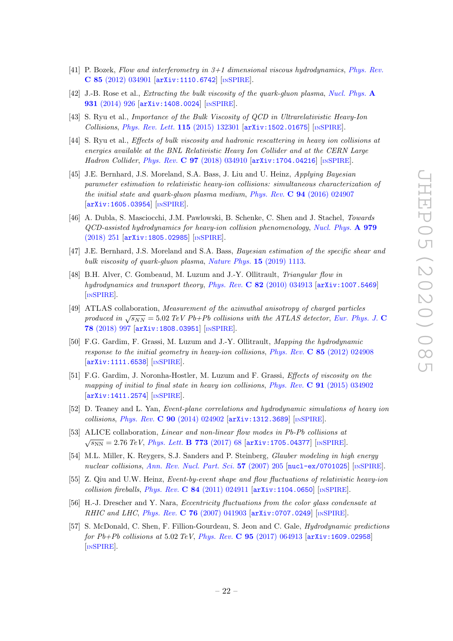- [41] P. Bozek, Flow and interferometry in 3+1 dimensional viscous hydrodynamics, [Phys. Rev.](https://doi.org/10.1103/PhysRevC.85.034901) C 85 [\(2012\) 034901](https://doi.org/10.1103/PhysRevC.85.034901) [[arXiv:1110.6742](https://arxiv.org/abs/1110.6742)] [IN[SPIRE](https://inspirehep.net/search?p=find+EPRINT+arXiv:1110.6742)].
- [42] J.-B. Rose et al., Extracting the bulk viscosity of the quark-gluon plasma, [Nucl. Phys.](https://doi.org/10.1016/j.nuclphysa.2014.09.044) A 931 [\(2014\) 926](https://doi.org/10.1016/j.nuclphysa.2014.09.044) [[arXiv:1408.0024](https://arxiv.org/abs/1408.0024)] [IN[SPIRE](https://inspirehep.net/search?p=find+EPRINT+arXiv:1408.0024)].
- [43] S. Ryu et al., Importance of the Bulk Viscosity of QCD in Ultrarelativistic Heavy-Ion Collisions, [Phys. Rev. Lett.](https://doi.org/10.1103/PhysRevLett.115.132301) 115 (2015) 132301 [[arXiv:1502.01675](https://arxiv.org/abs/1502.01675)] [IN[SPIRE](https://inspirehep.net/search?p=find+EPRINT+arXiv:1502.01675)].
- [44] S. Ryu et al., Effects of bulk viscosity and hadronic rescattering in heavy ion collisions at energies available at the BNL Relativistic Heavy Ion Collider and at the CERN Large Hadron Collider, Phys. Rev. C 97 [\(2018\) 034910](https://doi.org/10.1103/PhysRevC.97.034910) [[arXiv:1704.04216](https://arxiv.org/abs/1704.04216)] [IN[SPIRE](https://inspirehep.net/search?p=find+EPRINT+arXiv:1704.04216)].
- [45] J.E. Bernhard, J.S. Moreland, S.A. Bass, J. Liu and U. Heinz, Applying Bayesian parameter estimation to relativistic heavy-ion collisions: simultaneous characterization of the initial state and quark-gluon plasma medium, Phys. Rev.  $C$  94 [\(2016\) 024907](https://doi.org/10.1103/PhysRevC.94.024907) [[arXiv:1605.03954](https://arxiv.org/abs/1605.03954)] [IN[SPIRE](https://inspirehep.net/search?p=find+EPRINT+arXiv:1605.03954)].
- [46] A. Dubla, S. Masciocchi, J.M. Pawlowski, B. Schenke, C. Shen and J. Stachel, Towards  $QCD$ -assisted hydrodynamics for heavy-ion collision phenomenology, [Nucl. Phys.](https://doi.org/10.1016/j.nuclphysa.2018.09.046)  $\bf{A}$  979 [\(2018\) 251](https://doi.org/10.1016/j.nuclphysa.2018.09.046) [[arXiv:1805.02985](https://arxiv.org/abs/1805.02985)] [IN[SPIRE](https://inspirehep.net/search?p=find+EPRINT+arXiv:1805.02985)].
- [47] J.E. Bernhard, J.S. Moreland and S.A. Bass, Bayesian estimation of the specific shear and bulk viscosity of quark-gluon plasma, [Nature Phys.](https://doi.org/10.1038/s41567-019-0611-8) 15 (2019) 1113.
- [48] B.H. Alver, C. Gombeaud, M. Luzum and J.-Y. Ollitrault, Triangular flow in hydrodynamics and transport theory, Phys. Rev. C 82 [\(2010\) 034913](https://doi.org/10.1103/PhysRevC.82.034913)  $arXiv:1007.5469$ [IN[SPIRE](https://inspirehep.net/search?p=find+EPRINT+arXiv:1007.5469)].
- [49] ATLAS collaboration, Measurement of the azimuthal anisotropy of charged particles produced in  $\sqrt{s_{NN}} = 5.02 \text{ TeV}$  Pb+Pb collisions with the ATLAS detector, [Eur. Phys. J.](https://doi.org/10.1140/epjc/s10052-018-6468-7) C 78 [\(2018\) 997](https://doi.org/10.1140/epjc/s10052-018-6468-7) [[arXiv:1808.03951](https://arxiv.org/abs/1808.03951)] [IN[SPIRE](https://inspirehep.net/search?p=find+EPRINT+arXiv:1808.03951)].
- [50] F.G. Gardim, F. Grassi, M. Luzum and J.-Y. Ollitrault, Mapping the hydrodynamic response to the initial geometry in heavy-ion collisions, Phys. Rev. C 85 [\(2012\) 024908](https://doi.org/10.1103/PhysRevC.85.024908) [[arXiv:1111.6538](https://arxiv.org/abs/1111.6538)] [IN[SPIRE](https://inspirehep.net/search?p=find+EPRINT+arXiv:1111.6538)].
- [51] F.G. Gardim, J. Noronha-Hostler, M. Luzum and F. Grassi, Effects of viscosity on the mapping of initial to final state in heavy ion collisions, Phys. Rev.  $C 91$  [\(2015\) 034902](https://doi.org/10.1103/PhysRevC.91.034902) [[arXiv:1411.2574](https://arxiv.org/abs/1411.2574)] [IN[SPIRE](https://inspirehep.net/search?p=find+EPRINT+arXiv:1411.2574)].
- [52] D. Teaney and L. Yan, Event-plane correlations and hydrodynamic simulations of heavy ion collisions, Phys. Rev. C 90 [\(2014\) 024902](https://doi.org/10.1103/PhysRevC.90.024902) [[arXiv:1312.3689](https://arxiv.org/abs/1312.3689)] [IN[SPIRE](https://inspirehep.net/search?p=find+EPRINT+arXiv:1312.3689)].
- [53] ALICE collaboration, Linear and non-linear flow modes in Pb-Pb collisions at  $\sqrt{s_{NN}} = 2.76 \; TeV$ , *[Phys. Lett.](https://doi.org/10.1016/j.physletb.2017.07.060)* **B 773** (2017) 68 [[arXiv:1705.04377](https://arxiv.org/abs/1705.04377)] [IN[SPIRE](https://inspirehep.net/search?p=find+EPRINT+arXiv:1705.04377)].
- [54] M.L. Miller, K. Reygers, S.J. Sanders and P. Steinberg, Glauber modeling in high energy nuclear collisions, [Ann. Rev. Nucl. Part. Sci.](https://doi.org/10.1146/annurev.nucl.57.090506.123020) 57 (2007) 205  $\lceil \text{nucl-ex}/0701025 \rceil \lceil \text{insPIRE} \rceil$ .
- [55] Z. Qiu and U.W. Heinz, Event-by-event shape and flow fluctuations of relativistic heavy-ion collision fireballs, Phys. Rev. C 84 [\(2011\) 024911](https://doi.org/10.1103/PhysRevC.84.024911)  $arXiv:1104.0650$  [IN[SPIRE](https://inspirehep.net/search?p=find+EPRINT+arXiv:1104.0650)].
- [56] H.-J. Drescher and Y. Nara, Eccentricity fluctuations from the color glass condensate at RHIC and LHC, Phys. Rev. C 76 [\(2007\) 041903](https://doi.org/10.1103/PhysRevC.76.041903) [[arXiv:0707.0249](https://arxiv.org/abs/0707.0249)] [IN[SPIRE](https://inspirehep.net/search?p=find+EPRINT+arXiv:0707.0249)].
- [57] S. McDonald, C. Shen, F. Fillion-Gourdeau, S. Jeon and C. Gale, *Hydrodynamic predictions* for  $Pb+Pb$  collisions at 5.02 TeV, Phys. Rev. C 95 [\(2017\) 064913](https://doi.org/10.1103/PhysRevC.95.064913)  $arXiv:1609.02958$ [IN[SPIRE](https://inspirehep.net/search?p=find+EPRINT+arXiv:1609.02958)].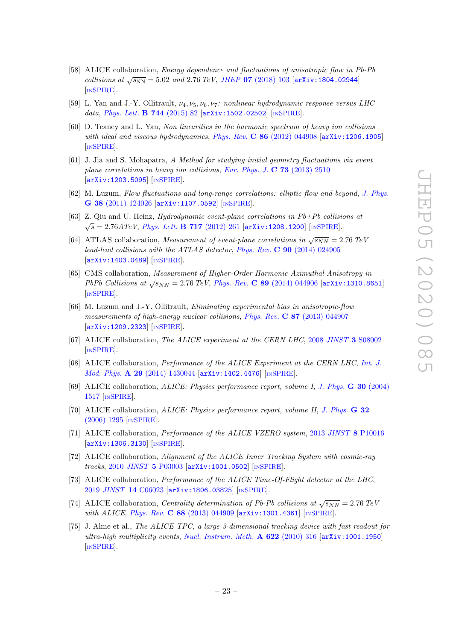- [58] ALICE collaboration, Energy dependence and fluctuations of anisotropic flow in Pb-Pb collisions at  $\sqrt{s_{NN}} = 5.02$  and 2.76 TeV, JHEP 07 [\(2018\) 103](https://doi.org/10.1007/JHEP07(2018)103) [[arXiv:1804.02944](https://arxiv.org/abs/1804.02944)] [IN[SPIRE](https://inspirehep.net/search?p=find+EPRINT+arXiv:1804.02944)].
- [59] L. Yan and J.-Y. Ollitrault,  $\nu_4, \nu_5, \nu_6, \nu_7$ : nonlinear hydrodynamic response versus LHC data, [Phys. Lett.](https://doi.org/10.1016/j.physletb.2015.03.040) **B** 744 (2015) 82  $\left[ \text{arXiv:1502.02502} \right]$  $\left[ \text{arXiv:1502.02502} \right]$  $\left[ \text{arXiv:1502.02502} \right]$   $\left[ \text{insPIRE} \right]$ .
- [60] D. Teaney and L. Yan, Non linearities in the harmonic spectrum of heavy ion collisions with ideal and viscous hydrodynamics, Phys. Rev. C 86 [\(2012\) 044908](https://doi.org/10.1103/PhysRevC.86.044908) [[arXiv:1206.1905](https://arxiv.org/abs/1206.1905)] [IN[SPIRE](https://inspirehep.net/search?p=find+EPRINT+arXiv:1206.1905)].
- [61] J. Jia and S. Mohapatra, A Method for studying initial geometry fluctuations via event plane correlations in heavy ion collisions, [Eur. Phys. J.](https://doi.org/10.1140/epjc/s10052-013-2510-y)  $C$  73 (2013) 2510 [[arXiv:1203.5095](https://arxiv.org/abs/1203.5095)] [IN[SPIRE](https://inspirehep.net/search?p=find+EPRINT+arXiv:1203.5095)].
- [62] M. Luzum, Flow fluctuations and long-range correlations: elliptic flow and beyond, [J. Phys.](https://doi.org/10.1088/0954-3899/38/12/124026) G 38 [\(2011\) 124026](https://doi.org/10.1088/0954-3899/38/12/124026) [[arXiv:1107.0592](https://arxiv.org/abs/1107.0592)] [IN[SPIRE](https://inspirehep.net/search?p=find+EPRINT+arXiv:1107.0592)].
- [63] Z. Qiu and U. Heinz, Hydrodynamic event-plane correlations in Pb+Pb collisions at  $\sqrt{s} = 2.76$ ATeV, [Phys. Lett.](https://doi.org/10.1016/j.physletb.2012.09.030) **B** 717 (2012) 261 [[arXiv:1208.1200](https://arxiv.org/abs/1208.1200)] [IN[SPIRE](https://inspirehep.net/search?p=find+EPRINT+arXiv:1208.1200)].
- [64] ATLAS collaboration, Measurement of event-plane correlations in  $\sqrt{s_{NN}} = 2.76 \text{ TeV}$ lead-lead collisions with the ATLAS detector, Phys. Rev. C 90 [\(2014\) 024905](https://doi.org/10.1103/PhysRevC.90.024905) [[arXiv:1403.0489](https://arxiv.org/abs/1403.0489)] [IN[SPIRE](https://inspirehep.net/search?p=find+EPRINT+arXiv:1403.0489)].
- [65] CMS collaboration, Measurement of Higher-Order Harmonic Azimuthal Anisotropy in PbPb Collisions at  $\sqrt{s_{NN}} = 2.76 \text{ TeV}$ , Phys. Rev. C 89 [\(2014\) 044906](https://doi.org/10.1103/PhysRevC.89.044906) [[arXiv:1310.8651](https://arxiv.org/abs/1310.8651)] [IN[SPIRE](https://inspirehep.net/search?p=find+EPRINT+arXiv:1310.8651)].
- [66] M. Luzum and J.-Y. Ollitrault, Eliminating experimental bias in anisotropic-flow measurements of high-energy nuclear collisions, Phys. Rev. C 87 [\(2013\) 044907](https://doi.org/10.1103/PhysRevC.87.044907) [[arXiv:1209.2323](https://arxiv.org/abs/1209.2323)] [IN[SPIRE](https://inspirehep.net/search?p=find+EPRINT+arXiv:1209.2323)].
- [67] ALICE collaboration, The ALICE experiment at the CERN LHC, 2008 JINST 3 [S08002](https://doi.org/10.1088/1748-0221/3/08/S08002) [IN[SPIRE](https://inspirehep.net/search?p=find+J+%22JINST,3,S08002%22)].
- [68] ALICE collaboration, Performance of the ALICE Experiment at the CERN LHC, [Int. J.](https://doi.org/10.1142/S0217751X14300440) Mod. Phys. A 29 [\(2014\) 1430044](https://doi.org/10.1142/S0217751X14300440) [[arXiv:1402.4476](https://arxiv.org/abs/1402.4476)] [IN[SPIRE](https://inspirehep.net/search?p=find+EPRINT+arXiv:1402.4476)].
- [69] ALICE collaboration, ALICE: Physics performance report, volume I, [J. Phys.](https://doi.org/10.1088/0954-3899/30/11/001) G 30 (2004) [1517](https://doi.org/10.1088/0954-3899/30/11/001) [IN[SPIRE](https://inspirehep.net/search?p=find+J+%22J.Phys.,G30,1517%22)].
- [70] ALICE collaboration, ALICE: Physics performance report, volume II, [J. Phys.](https://doi.org/10.1088/0954-3899/32/10/001) G 32 [\(2006\) 1295](https://doi.org/10.1088/0954-3899/32/10/001) [IN[SPIRE](https://inspirehep.net/search?p=find+J+%22J.Phys.,G32,1295%22)].
- [71] ALICE collaboration, Performance of the ALICE VZERO system, 2013 JINST 8 [P10016](https://doi.org/10.1088/1748-0221/8/10/P10016) [[arXiv:1306.3130](https://arxiv.org/abs/1306.3130)] [IN[SPIRE](https://inspirehep.net/search?p=find+EPRINT+arXiv:1306.3130)].
- [72] ALICE collaboration, Alignment of the ALICE Inner Tracking System with cosmic-ray tracks, 2010 JINST 5 [P03003](https://doi.org/10.1088/1748-0221/5/03/P03003) [[arXiv:1001.0502](https://arxiv.org/abs/1001.0502)] [IN[SPIRE](https://inspirehep.net/search?p=find+EPRINT+arXiv:1001.0502)].
- [73] ALICE collaboration, *Performance of the ALICE Time-Of-Flight detector at the LHC*, 2019 JINST 14 [C06023](https://doi.org/10.1088/1748-0221/14/06/C06023) [[arXiv:1806.03825](https://arxiv.org/abs/1806.03825)] [IN[SPIRE](https://inspirehep.net/search?p=find+EPRINT+arXiv:1806.03825)].
- [74] ALICE collaboration, Centrality determination of Pb-Pb collisions at  $\sqrt{s_{NN}} = 2.76 \text{ TeV}$ with ALICE, Phys. Rev. C 88 [\(2013\) 044909](https://doi.org/10.1103/PhysRevC.88.044909) [[arXiv:1301.4361](https://arxiv.org/abs/1301.4361)] [IN[SPIRE](https://inspirehep.net/search?p=find+EPRINT+arXiv:1301.4361)].
- [75] J. Alme et al., The ALICE TPC, a large 3-dimensional tracking device with fast readout for ultra-high multiplicity events, [Nucl. Instrum. Meth.](https://doi.org/10.1016/j.nima.2010.04.042) A 622 (2010) 316 [[arXiv:1001.1950](https://arxiv.org/abs/1001.1950)] [IN[SPIRE](https://inspirehep.net/search?p=find+EPRINT+arXiv:1001.1950)].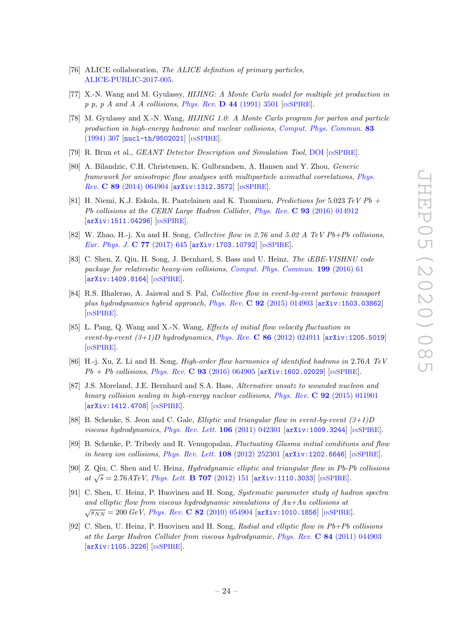- [76] ALICE collaboration, The ALICE definition of primary particles, [ALICE-PUBLIC-2017-005.](https://cds.cern.ch/record/2270008)
- [77] X.-N. Wang and M. Gyulassy, HIJING: A Monte Carlo model for multiple jet production in p p, p A and A A collisions, Phys. Rev.  $\bf{D}$  44 [\(1991\) 3501](https://doi.org/10.1103/PhysRevD.44.3501) [IN[SPIRE](https://inspirehep.net/search?p=find+J+%22Phys.Rev.,D44,3501%22)].
- [78] M. Gyulassy and X.-N. Wang, HIJING 1.0: A Monte Carlo program for parton and particle production in high-energy hadronic and nuclear collisions, [Comput. Phys. Commun.](https://doi.org/10.1016/0010-4655(94)90057-4) 83 [\(1994\) 307](https://doi.org/10.1016/0010-4655(94)90057-4) [[nucl-th/9502021](https://arxiv.org/abs/nucl-th/9502021)] [IN[SPIRE](https://inspirehep.net/search?p=find+EPRINT+nucl-th/9502021)].
- [79] R. Brun et al., GEANT Detector Description and Simulation Tool, [DOI](https://doi.org/10.17181/CERN.MUHF.DMJ1) [IN[SPIRE](http://inspirehep.net/record/863473)].
- [80] A. Bilandzic, C.H. Christensen, K. Gulbrandsen, A. Hansen and Y. Zhou, Generic framework for anisotropic flow analyses with multiparticle azimuthal correlations, [Phys.](https://doi.org/10.1103/PhysRevC.89.064904) Rev. C 89 [\(2014\) 064904](https://doi.org/10.1103/PhysRevC.89.064904) [[arXiv:1312.3572](https://arxiv.org/abs/1312.3572)] [IN[SPIRE](https://inspirehep.net/search?p=find+EPRINT+arXiv:1312.3572)].
- [81] H. Niemi, K.J. Eskola, R. Paatelainen and K. Tuominen, *Predictions for* 5.023 TeV Pb  $+$ Pb collisions at the CERN Large Hadron Collider, Phys. Rev. C 93 [\(2016\) 014912](https://doi.org/10.1103/PhysRevC.93.014912) [[arXiv:1511.04296](https://arxiv.org/abs/1511.04296)] [IN[SPIRE](https://inspirehep.net/search?p=find+EPRINT+arXiv:1511.04296)].
- [82] W. Zhao, H.-j. Xu and H. Song, *Collective flow in 2.76 and 5.02 A TeV Pb+Pb collisions*, [Eur. Phys. J.](https://doi.org/10.1140/epjc/s10052-017-5186-x) C 77 (2017) 645 [[arXiv:1703.10792](https://arxiv.org/abs/1703.10792)] [IN[SPIRE](https://inspirehep.net/search?p=find+EPRINT+arXiv:1703.10792)].
- [83] C. Shen, Z. Qiu, H. Song, J. Bernhard, S. Bass and U. Heinz, The iEBE-VISHNU code package for relativistic heavy-ion collisions, [Comput. Phys. Commun.](https://doi.org/10.1016/j.cpc.2015.08.039) 199 (2016) 61 [[arXiv:1409.8164](https://arxiv.org/abs/1409.8164)] [IN[SPIRE](https://inspirehep.net/search?p=find+EPRINT+arXiv:1409.8164)].
- [84] R.S. Bhalerao, A. Jaiswal and S. Pal, Collective flow in event-by-event partonic transport plus hydrodynamics hybrid approach, Phys. Rev. C 92 [\(2015\) 014903](https://doi.org/10.1103/PhysRevC.92.014903) [[arXiv:1503.03862](https://arxiv.org/abs/1503.03862)] [IN[SPIRE](https://inspirehep.net/search?p=find+EPRINT+arXiv:1503.03862)].
- [85] L. Pang, Q. Wang and X.-N. Wang, Effects of initial flow velocity fluctuation in event-by-event  $(3+1)D$  hydrodynamics, Phys. Rev. C 86 [\(2012\) 024911](https://doi.org/10.1103/PhysRevC.86.024911) [[arXiv:1205.5019](https://arxiv.org/abs/1205.5019)] [IN[SPIRE](https://inspirehep.net/search?p=find+EPRINT+arXiv:1205.5019)].
- [86] H.-j. Xu, Z. Li and H. Song, High-order flow harmonics of identified hadrons in 2.76A TeV  $Pb + Pb$  collisions, Phys. Rev. C 93 [\(2016\) 064905](https://doi.org/10.1103/PhysRevC.93.064905) [[arXiv:1602.02029](https://arxiv.org/abs/1602.02029)] [IN[SPIRE](https://inspirehep.net/search?p=find+EPRINT+arXiv:1602.02029)].
- [87] J.S. Moreland, J.E. Bernhard and S.A. Bass, Alternative ansatz to wounded nucleon and binary collision scaling in high-energy nuclear collisions, Phys. Rev. C 92 [\(2015\) 011901](https://doi.org/10.1103/PhysRevC.92.011901) [[arXiv:1412.4708](https://arxiv.org/abs/1412.4708)] [IN[SPIRE](https://inspirehep.net/search?p=find+EPRINT+arXiv:1412.4708)].
- [88] B. Schenke, S. Jeon and C. Gale, *Elliptic and triangular flow in event-by-event*  $(3+1)D$ viscous hydrodynamics, [Phys. Rev. Lett.](https://doi.org/10.1103/PhysRevLett.106.042301)  $106$  (2011) 042301  $\text{[arXiv:1009.3244]}$  $\text{[arXiv:1009.3244]}$  $\text{[arXiv:1009.3244]}$  [IN[SPIRE](https://inspirehep.net/search?p=find+EPRINT+arXiv:1009.3244)].
- [89] B. Schenke, P. Tribedy and R. Venugopalan, Fluctuating Glasma initial conditions and flow in heavy ion collisions, [Phys. Rev. Lett.](https://doi.org/10.1103/PhysRevLett.108.252301)  $108$  (2012) 252301  $\text{arXiv:1202.6646}$  $\text{arXiv:1202.6646}$  $\text{arXiv:1202.6646}$  [IN[SPIRE](https://inspirehep.net/search?p=find+EPRINT+arXiv:1202.6646)].
- [90] Z. Qiu, C. Shen and U. Heinz, Hydrodynamic elliptic and triangular flow in Pb-Pb collisions at  $\sqrt{s}$  = 2.76ATeV, [Phys. Lett.](https://doi.org/10.1016/j.physletb.2011.12.041) **B** 707 (2012) 151 [[arXiv:1110.3033](https://arxiv.org/abs/1110.3033)] [IN[SPIRE](https://inspirehep.net/search?p=find+EPRINT+arXiv:1110.3033)].
- [91] C. Shen, U. Heinz, P. Huovinen and H. Song, Systematic parameter study of hadron spectra and elliptic flow from viscous hydrodynamic simulations of  $Au+Au$  collisions at  $\sqrt{s_{NN}} = 200 \text{ GeV}, \text{Phys. Rev. C } 82 (2010) 054904 [\text{arXiv:1010.1856}]$  $\sqrt{s_{NN}} = 200 \text{ GeV}, \text{Phys. Rev. C } 82 (2010) 054904 [\text{arXiv:1010.1856}]$  $\sqrt{s_{NN}} = 200 \text{ GeV}, \text{Phys. Rev. C } 82 (2010) 054904 [\text{arXiv:1010.1856}]$  $\sqrt{s_{NN}} = 200 \text{ GeV}, \text{Phys. Rev. C } 82 (2010) 054904 [\text{arXiv:1010.1856}]$  $\sqrt{s_{NN}} = 200 \text{ GeV}, \text{Phys. Rev. C } 82 (2010) 054904 [\text{arXiv:1010.1856}]$  [IN[SPIRE](https://inspirehep.net/search?p=find+EPRINT+arXiv:1010.1856)].
- [92] C. Shen, U. Heinz, P. Huovinen and H. Song, Radial and elliptic flow in Pb+Pb collisions at the Large Hadron Collider from viscous hydrodynamic, Phys. Rev. C 84 [\(2011\) 044903](https://doi.org/10.1103/PhysRevC.84.044903) [[arXiv:1105.3226](https://arxiv.org/abs/1105.3226)] [IN[SPIRE](https://inspirehep.net/search?p=find+EPRINT+arXiv:1105.3226)].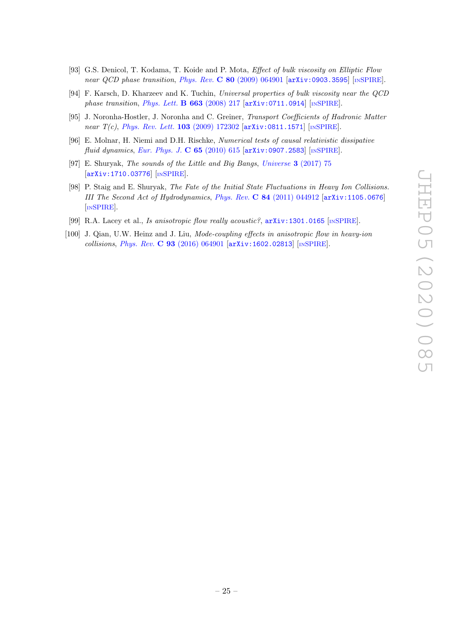- [93] G.S. Denicol, T. Kodama, T. Koide and P. Mota, *Effect of bulk viscosity on Elliptic Flow* near QCD phase transition, Phys. Rev. **C 80** [\(2009\) 064901](https://doi.org/10.1103/PhysRevC.80.064901) [[arXiv:0903.3595](https://arxiv.org/abs/0903.3595)] [IN[SPIRE](https://inspirehep.net/search?p=find+EPRINT+arXiv:0903.3595)].
- [94] F. Karsch, D. Kharzeev and K. Tuchin, Universal properties of bulk viscosity near the QCD phase transition, [Phys. Lett.](https://doi.org/10.1016/j.physletb.2008.01.080) **B 663** (2008) 217 [[arXiv:0711.0914](https://arxiv.org/abs/0711.0914)] [IN[SPIRE](https://inspirehep.net/search?p=find+EPRINT+arXiv:0711.0914)].
- [95] J. Noronha-Hostler, J. Noronha and C. Greiner, Transport Coefficients of Hadronic Matter near  $T(c)$ , [Phys. Rev. Lett.](https://doi.org/10.1103/PhysRevLett.103.172302) 103 (2009) 172302 [[arXiv:0811.1571](https://arxiv.org/abs/0811.1571)] [IN[SPIRE](https://inspirehep.net/search?p=find+EPRINT+arXiv:0811.1571)].
- [96] E. Molnar, H. Niemi and D.H. Rischke, Numerical tests of causal relativistic dissipative fluid dynamics, [Eur. Phys. J.](https://doi.org/10.1140/epjc/s10052-009-1194-9) C 65 (2010) 615 [[arXiv:0907.2583](https://arxiv.org/abs/0907.2583)] [IN[SPIRE](https://inspirehep.net/search?p=find+EPRINT+arXiv:0907.2583)].
- [97] E. Shuryak, The sounds of the Little and Big Bangs, Universe 3 [\(2017\) 75](https://doi.org/10.3390/universe3040075) [[arXiv:1710.03776](https://arxiv.org/abs/1710.03776)] [IN[SPIRE](https://inspirehep.net/search?p=find+EPRINT+arXiv:1710.03776)].
- [98] P. Staig and E. Shuryak, The Fate of the Initial State Fluctuations in Heavy Ion Collisions. III The Second Act of Hydrodynamics, Phys. Rev. C 84 [\(2011\) 044912](https://doi.org/10.1103/PhysRevC.84.044912) [[arXiv:1105.0676](https://arxiv.org/abs/1105.0676)] [IN[SPIRE](https://inspirehep.net/search?p=find+EPRINT+arXiv:1105.0676)].
- [99] R.A. Lacey et al., Is anisotropic flow really acoustic?, [arXiv:1301.0165](https://arxiv.org/abs/1301.0165) [IN[SPIRE](https://inspirehep.net/search?p=find+EPRINT+arXiv:1301.0165)].
- [100] J. Qian, U.W. Heinz and J. Liu, Mode-coupling effects in anisotropic flow in heavy-ion collisions, Phys. Rev. C 93 [\(2016\) 064901](https://doi.org/10.1103/PhysRevC.93.064901) [[arXiv:1602.02813](https://arxiv.org/abs/1602.02813)] [IN[SPIRE](https://inspirehep.net/search?p=find+EPRINT+arXiv:1602.02813)].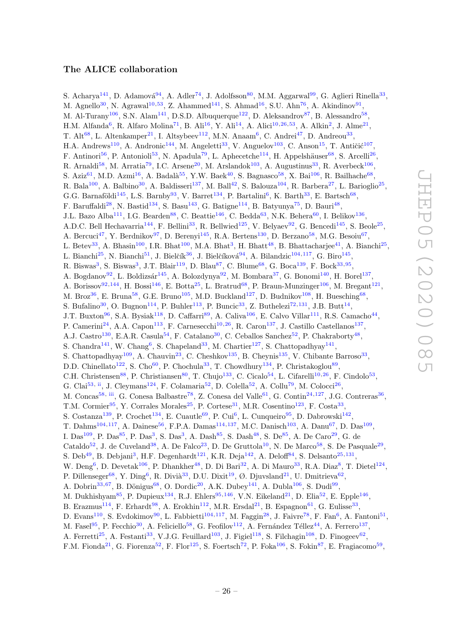## The ALICE collaboration

S. Acharya<sup>141</sup>, D. Adamová<sup>94</sup>, A. Adler<sup>74</sup>, J. Adolfsson<sup>80</sup>, M.M. Aggarwal<sup>99</sup>, G. Aglieri Rinella<sup>33</sup>, M. Agnello<sup>30</sup>, N. Agrawal<sup>10,53</sup>, Z. Ahammed<sup>141</sup>, S. Ahmad<sup>16</sup>, S.U. Ahn<sup>76</sup>, A. Akindinov<sup>91</sup>, M. Al-Turany<sup>106</sup>, S.N. Alam<sup>141</sup>, D.S.D. Albuquerque<sup>122</sup>, D. Aleksandrov<sup>87</sup>, B. Alessandro<sup>58</sup>, H.M. Alfanda<sup>6</sup>, R. Alfaro Molina<sup>71</sup>, B. Ali<sup>16</sup>, Y. Ali<sup>14</sup>, A. Alici<sup>10,26,53</sup>, A. Alkin<sup>2</sup>, J. Alme<sup>21</sup>, T.  $Alt^{68}$ , L. Altenkamper<sup>21</sup>, I. Altsybeev<sup>112</sup>, M.N. Anaam<sup>6</sup>, C. Andrei<sup>47</sup>, D. Andreou<sup>33</sup>, H.A. Andrews<sup>110</sup>, A. Andronic<sup>144</sup>, M. Angeletti<sup>33</sup>, V. Anguelov<sup>103</sup>, C. Anson<sup>15</sup>, T. Antičić<sup>107</sup>, F. Antinori<sup>56</sup>, P. Antonioli<sup>53</sup>, N. Apadula<sup>79</sup>, L. Aphecetche<sup>114</sup>, H. Appelshäuser<sup>68</sup>, S. Arcelli<sup>26</sup>, R. Arnaldi<sup>58</sup>, M. Arratia<sup>79</sup>, I.C. Arsene<sup>20</sup>, M. Arslandok<sup>103</sup>, A. Augustinus<sup>33</sup>, R. Averbeck<sup>106</sup>, S. Aziz<sup>61</sup>, M.D. Azmi<sup>16</sup>, A. Badalà<sup>55</sup>, Y.W. Baek<sup>40</sup>, S. Bagnasco<sup>58</sup>, X. Bai<sup>106</sup>, R. Bailhache<sup>68</sup>, R. Bala<sup>100</sup>, A. Balbino<sup>30</sup>, A. Baldisseri<sup>137</sup>, M. Ball<sup>42</sup>, S. Balouza<sup>104</sup>, R. Barbera<sup>27</sup>, L. Barioglio<sup>25</sup>, G.G. Barnaföldi<sup>145</sup>, L.S. Barnby<sup>93</sup>, V. Barret<sup>134</sup>, P. Bartalini<sup>6</sup>, K. Barth<sup>33</sup>, E. Bartsch<sup>68</sup>, F. Baruffaldi<sup>28</sup>, N. Bastid<sup>134</sup>, S. Basu<sup>143</sup>, G. Batigne<sup>114</sup>, B. Batyunya<sup>75</sup>, D. Bauri<sup>48</sup>, J.L. Bazo Alba<sup>111</sup>, I.G. Bearden<sup>88</sup>, C. Beattie<sup>146</sup>, C. Bedda<sup>63</sup>, N.K. Behera<sup>60</sup>, I. Belikov<sup>136</sup>, A.D.C. Bell Hechavarria<sup>144</sup>, F. Bellini<sup>33</sup>, R. Bellwied<sup>125</sup>, V. Belyaev<sup>92</sup>, G. Bencedi<sup>145</sup>, S. Beole<sup>25</sup>, A. Bercuci<sup>47</sup>, Y. Berdnikov<sup>97</sup>, D. Berenyi<sup>145</sup>, R.A. Bertens<sup>130</sup>, D. Berzano<sup>58</sup>, M.G. Besoiu<sup>67</sup>, L. Betev<sup>33</sup>, A. Bhasin<sup>100</sup>, I.R. Bhat<sup>100</sup>, M.A. Bhat<sup>3</sup>, H. Bhatt<sup>48</sup>, B. Bhattacharjee<sup>41</sup>, A. Bianchi<sup>25</sup>, L. Bianchi<sup>25</sup>, N. Bianchi<sup>51</sup>, J. Bielčík<sup>36</sup>, J. Bielčíková<sup>94</sup>, A. Bilandzic<sup>104,117</sup>, G. Biro<sup>145</sup>, R. Biswas<sup>3</sup>, S. Biswas<sup>3</sup>, J.T. Blair<sup>119</sup>, D. Blau<sup>87</sup>, C. Blume<sup>68</sup>, G. Boca<sup>139</sup>, F. Bock<sup>33,95</sup>, A. Bogdanov<sup>92</sup>, L. Boldizsár<sup>145</sup>, A. Bolozdynya<sup>92</sup>, M. Bombara<sup>37</sup>, G. Bonomi<sup>140</sup>, H. Borel<sup>137</sup>, A. Borissov<sup>92,144</sup>, H. Bossi<sup>146</sup>, E. Botta<sup>25</sup>, L. Bratrud<sup>68</sup>, P. Braun-Munzinger<sup>106</sup>, M. Bregant<sup>121</sup>, M. Broz<sup>36</sup>, E. Bruna<sup>58</sup>, G.E. Bruno<sup>105</sup>, M.D. Buckland<sup>127</sup>, D. Budnikov<sup>108</sup>, H. Buesching<sup>68</sup>, S. Bufalino<sup>30</sup>, O. Bugnon<sup>114</sup>, P. Buhler<sup>113</sup>, P. Buncic<sup>33</sup>, Z. Buthelezi<sup>72,131</sup>, J.B. Butt<sup>14</sup>, J.T. Buxton<sup>96</sup>, S.A. Bysiak<sup>118</sup>, D. Caffarri<sup>89</sup>, A. Caliva<sup>106</sup>, E. Calvo Villar<sup>111</sup>, R.S. Camacho<sup>44</sup>, P. Camerini<sup>24</sup>, A.A. Capon<sup>113</sup>, F. Carnesecchi<sup>10,26</sup>, R. Caron<sup>137</sup>, J. Castillo Castellanos<sup>137</sup>, A.J. Castro<sup>130</sup>, E.A.R. Casula<sup>54</sup>, F. Catalano<sup>30</sup>, C. Ceballos Sanchez<sup>52</sup>, P. Chakraborty<sup>48</sup>, S. Chandra<sup>141</sup>, W. Chang<sup>6</sup>, S. Chapeland<sup>33</sup>, M. Chartier<sup>127</sup>, S. Chattopadhyay<sup>141</sup>, S. Chattopadhyay<sup>109</sup>, A. Chauvin<sup>23</sup>, C. Cheshkov<sup>135</sup>, B. Cheynis<sup>135</sup>, V. Chibante Barroso<sup>33</sup>, D.D. Chinellato<sup>122</sup>, S. Cho<sup>60</sup>, P. Chochula<sup>33</sup>, T. Chowdhury<sup>134</sup>, P. Christakoglou<sup>89</sup>, C.H. Christensen<sup>88</sup>, P. Christiansen<sup>80</sup>, T. Chujo<sup>133</sup>, C. Cicalo<sup>54</sup>, L. Cifarelli<sup>10,26</sup>, F. Cindolo<sup>53</sup>, G. Clai<sup>53, ii</sup>, J. Cleymans<sup>124</sup>, F. Colamaria<sup>52</sup>, D. Colella<sup>52</sup>, A. Collu<sup>79</sup>, M. Colocci<sup>26</sup>, M. Concas<sup>58, iii</sup>, G. Conesa Balbastre<sup>78</sup>, Z. Conesa del Valle<sup>61</sup>, G. Contin<sup>24,127</sup>, J.G. Contreras<sup>36</sup>, T.M. Cormier<sup>95</sup>, Y. Corrales Morales<sup>25</sup>, P. Cortese<sup>31</sup>, M.R. Cosentino<sup>123</sup>, F. Costa<sup>33</sup>, S. Costanza<sup>139</sup>, P. Crochet<sup>134</sup>, E. Cuautle<sup>69</sup>, P. Cui<sup>6</sup>, L. Cunqueiro<sup>95</sup>, D. Dabrowski<sup>142</sup>, T. Dahms<sup>104,117</sup>, A. Dainese<sup>56</sup>, F.P.A. Damas<sup>114,137</sup>, M.C. Danisch<sup>103</sup>, A. Danu<sup>67</sup>, D. Das<sup>109</sup>, I.  $Das^{109}$ , P. Das<sup>85</sup>, P. Das<sup>3</sup>, S. Das<sup>3</sup>, A. Dash<sup>85</sup>, S. Dash<sup>48</sup>, S. De<sup>85</sup>, A. De Caro<sup>29</sup>, G. de Cataldo<sup>52</sup>, J. de Cuveland<sup>38</sup>, A. De Falco<sup>23</sup>, D. De Gruttola<sup>10</sup>, N. De Marco<sup>58</sup>, S. De Pasquale<sup>29</sup>, S. Deb<sup>49</sup>, B. Debjani<sup>3</sup>, H.F. Degenhardt<sup>121</sup>, K.R. Deja<sup>142</sup>, A. Deloff<sup>84</sup>, S. Delsanto<sup>25,131</sup>, W. Deng<sup>6</sup>, D. Devetak<sup>106</sup>, P. Dhankher<sup>48</sup>, D. Di Bari<sup>32</sup>, A. Di Mauro<sup>33</sup>, R.A. Diaz<sup>8</sup>, T. Dietel<sup>124</sup>, P. Dillenseger<sup>68</sup>, Y. Ding<sup>6</sup>, R. Divià<sup>33</sup>, D.U. Dixit<sup>19</sup>, Ø. Djuvsland<sup>21</sup>, U. Dmitrieva<sup>62</sup>, A. Dobrin<sup>33,67</sup>, B. Dönigus<sup>68</sup>, O. Dordic<sup>20</sup>, A.K. Dubey<sup>141</sup>, A. Dubla<sup>106</sup>, S. Dudi<sup>99</sup>, M. Dukhishyam<sup>85</sup>, P. Dupieux<sup>134</sup>, R.J. Ehlers<sup>95,146</sup>, V.N. Eikeland<sup>21</sup>, D. Elia<sup>52</sup>, E. Epple<sup>146</sup>, B. Erazmus<sup>114</sup>, F. Erhardt<sup>98</sup>, A. Erokhin<sup>112</sup>, M.R. Ersdal<sup>21</sup>, B. Espagnon<sup>61</sup>, G. Eulisse<sup>33</sup>, D. Evans<sup>110</sup>, S. Evdokimov<sup>90</sup>, L. Fabbietti<sup>104,117</sup>, M. Faggin<sup>28</sup>, J. Faivre<sup>78</sup>, F. Fan<sup>6</sup>, A. Fantoni<sup>51</sup>, M. Fasel<sup>95</sup>, P. Fecchio<sup>30</sup>, A. Feliciello<sup>58</sup>, G. Feofilov<sup>112</sup>, A. Fernández Téllez<sup>44</sup>, A. Ferrero<sup>137</sup>, A. Ferretti<sup>25</sup>, A. Festanti<sup>33</sup>, V.J.G. Feuillard<sup>103</sup>, J. Figiel<sup>118</sup>, S. Filchagin<sup>108</sup>, D. Finogeev<sup>62</sup>, F.M. Fionda<sup>21</sup>, G. Fiorenza<sup>52</sup>, F. Flor<sup>125</sup>, S. Foertsch<sup>72</sup>, P. Foka<sup>106</sup>, S. Fokin<sup>87</sup>, E. Fragiacomo<sup>59</sup>,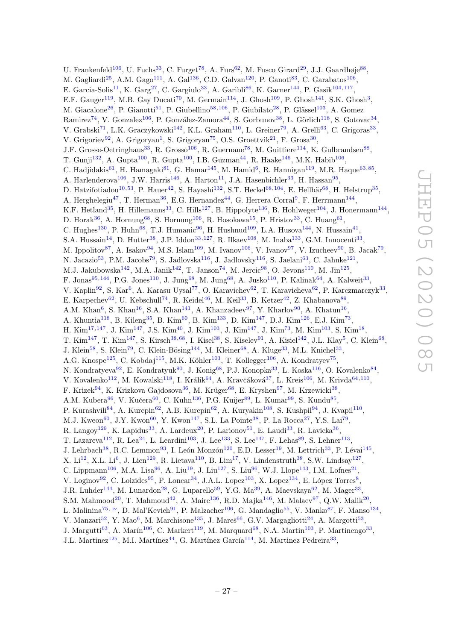U. Frankenfeld<sup>106</sup>, U. Fuchs<sup>33</sup>, C. Furget<sup>78</sup>, A. Furs<sup>62</sup>, M. Fusco Girard<sup>29</sup>, J.J. Gaardhøje<sup>88</sup>, M. Gagliardi<sup>25</sup>, A.M. Gago<sup>111</sup>, A. Gal<sup>136</sup>, C.D. Galvan<sup>120</sup>, P. Ganoti<sup>83</sup>, C. Garabatos<sup>106</sup>, E. Garcia-Solis<sup>11</sup>, K. Garg<sup>27</sup>, C. Gargiulo<sup>33</sup>, A. Garibli<sup>86</sup>, K. Garner<sup>144</sup>, P. Gasik<sup>104,117</sup>, E.F. Gauger<sup>119</sup>, M.B. Gay Ducati<sup>70</sup>, M. Germain<sup>114</sup>, J. Ghosh<sup>109</sup>, P. Ghosh<sup>141</sup>, S.K. Ghosh<sup>3</sup>, M. Giacalone<sup>26</sup>, P. Gianotti<sup>51</sup>, P. Giubellino<sup>58,106</sup>, P. Giubilato<sup>28</sup>, P. Glässel<sup>103</sup>, A. Gomez Ramirez<sup>74</sup>, V. Gonzalez<sup>106</sup>, P. González-Zamora<sup>44</sup>, S. Gorbunov<sup>38</sup>, L. Görlich<sup>118</sup>, S. Gotovac<sup>34</sup>, V. Grabski<sup>71</sup>, L.K. Graczykowski<sup>142</sup>, K.L. Graham<sup>110</sup>, L. Greiner<sup>79</sup>, A. Grelli<sup>63</sup>, C. Grigoras<sup>33</sup>, V. Grigoriev<sup>92</sup>, A. Grigoryan<sup>1</sup>, S. Grigoryan<sup>75</sup>, O.S. Groettvik<sup>21</sup>, F. Grosa<sup>30</sup>, J.F. Grosse-Oetringhaus<sup>33</sup>, R. Grosso<sup>106</sup>, R. Guernane<sup>78</sup>, M. Guittiere<sup>114</sup>, K. Gulbrandsen<sup>88</sup>, T. Gunji<sup>132</sup>, A. Gupta<sup>100</sup>, R. Gupta<sup>100</sup>, I.B. Guzman<sup>44</sup>, R. Haake<sup>146</sup>, M.K. Habib<sup>106</sup>, C. Hadjidakis<sup>61</sup>, H. Hamagaki<sup>81</sup>, G. Hamar<sup>145</sup>, M. Hamid<sup>6</sup>, R. Hannigan<sup>119</sup>, M.R. Haque<sup>63,85</sup>, A. Harlenderova<sup>106</sup>, J.W. Harris<sup>146</sup>, A. Harton<sup>11</sup>, J.A. Hasenbichler<sup>33</sup>, H. Hassan<sup>95</sup>, D. Hatzifotiadou<sup>10,53</sup>, P. Hauer<sup>42</sup>, S. Hayashi<sup>132</sup>, S.T. Heckel<sup>68,104</sup>, E. Hellbär<sup>68</sup>, H. Helstrup<sup>35</sup>, A. Herghelegiu<sup>47</sup>, T. Herman<sup>36</sup>, E.G. Hernandez<sup>44</sup>, G. Herrera Corral<sup>9</sup>, F. Herrmann<sup>144</sup>, K.F. Hetland<sup>35</sup>, H. Hillemanns<sup>33</sup>, C. Hills<sup>127</sup>, B. Hippolyte<sup>136</sup>, B. Hohlweger<sup>104</sup>, J. Honermann<sup>144</sup>, D. Horak $^{36}$ , A. Hornung $^{68}$ , S. Hornung $^{106}$ , R. Hosokawa $^{15}$ , P. Hristov $^{33}$ , C. Huang $^{61}$ , C. Hughes<sup>130</sup>, P. Huhn<sup>68</sup>, T.J. Humanic<sup>96</sup>, H. Hushnud<sup>109</sup>, L.A. Husova<sup>144</sup>, N. Hussain<sup>41</sup>, S.A. Hussain<sup>14</sup>, D. Hutter<sup>38</sup>, J.P. Iddon<sup>33,127</sup>, R. Ilkaev<sup>108</sup>, M. Inaba<sup>133</sup>, G.M. Innocenti<sup>33</sup>, M. Ippolitov<sup>87</sup>, A. Isakov<sup>94</sup>, M.S. Islam<sup>109</sup>, M. Ivanov<sup>106</sup>, V. Ivanov<sup>97</sup>, V. Izucheev<sup>90</sup>, B. Jacak<sup>79</sup>, N. Jacazio<sup>53</sup>, P.M. Jacobs<sup>79</sup>, S. Jadlovska<sup>116</sup>, J. Jadlovsky<sup>116</sup>, S. Jaelani<sup>63</sup>, C. Jahnke<sup>121</sup>, M.J. Jakubowska<sup>142</sup>, M.A. Janik<sup>142</sup>, T. Janson<sup>74</sup>, M. Jercic<sup>98</sup>, O. Jevons<sup>110</sup>, M. Jin<sup>125</sup>, F. Jonas<sup>95,144</sup>, P.G. Jones<sup>110</sup>, J. Jung<sup>68</sup>, M. Jung<sup>68</sup>, A. Jusko<sup>110</sup>, P. Kalinak<sup>64</sup>, A. Kalweit<sup>33</sup>, V. Kaplin<sup>92</sup>, S. Kar<sup>6</sup>, A. Karasu Uysal<sup>77</sup>, O. Karavichev<sup>62</sup>, T. Karavicheva<sup>62</sup>, P. Karczmarczyk<sup>33</sup>, E. Karpechev<sup>62</sup>, U. Kebschull<sup>74</sup>, R. Keidel<sup>46</sup>, M. Keil<sup>33</sup>, B. Ketzer<sup>42</sup>, Z. Khabanova<sup>89</sup>, A.M. Khan<sup>6</sup>, S. Khan<sup>16</sup>, S.A. Khan<sup>141</sup>, A. Khanzadeev<sup>97</sup>, Y. Kharlov<sup>90</sup>, A. Khatun<sup>16</sup>, A. Khuntia $^{118}$ , B. Kileng $^{35}$ , B. Kim $^{60}$ , B. Kim $^{133}$ , D. Kim $^{147}$ , D.J. Kim $^{126}$ , E.J. Kim $^{73}$ , H. Kim<sup>17,147</sup>, J. Kim<sup>147</sup>, J.S. Kim<sup>40</sup>, J. Kim<sup>103</sup>, J. Kim<sup>147</sup>, J. Kim<sup>73</sup>, M. Kim<sup>103</sup>, S. Kim<sup>18</sup>, T. Kim<sup>147</sup>, T. Kim<sup>147</sup>, S. Kirsch<sup>38,68</sup>, I. Kisel<sup>38</sup>, S. Kiselev<sup>91</sup>, A. Kisiel<sup>142</sup>, J.L. Klay<sup>5</sup>, C. Klein<sup>68</sup>, J. Klein<sup>58</sup>, S. Klein<sup>79</sup>, C. Klein-Bösing<sup>144</sup>, M. Kleiner<sup>68</sup>, A. Kluge<sup>33</sup>, M.L. Knichel<sup>33</sup>, A.G. Knospe<sup>125</sup>, C. Kobdaj<sup>115</sup>, M.K. Köhler<sup>103</sup>, T. Kollegger<sup>106</sup>, A. Kondratyev<sup>75</sup>, N. Kondratyeva<sup>92</sup>, E. Kondratyuk<sup>90</sup>, J. Konig<sup>68</sup>, P.J. Konopka<sup>33</sup>, L. Koska<sup>116</sup>, O. Kovalenko<sup>84</sup>, V. Kovalenko $^{112}$ , M. Kowalski $^{118}$ , I. Králik $^{64}$ , A. Kravčáková $^{37}$ , L. Kreis $^{106}$ , M. Krivda $^{64,110}$ , F. Krizek $^{94}$ , K. Krizkova Gajdosova $^{36}$ , M. Krüger $^{68}$ , E. Kryshen $^{97}$ , M. Krzewicki $^{38}$ , A.M. Kubera<sup>96</sup>, V. Kučera<sup>60</sup>, C. Kuhn<sup>136</sup>, P.G. Kuijer<sup>89</sup>, L. Kumar<sup>99</sup>, S. Kundu<sup>85</sup>, P. Kurashvili<sup>84</sup>, A. Kurepin<sup>62</sup>, A.B. Kurepin<sup>62</sup>, A. Kuryakin<sup>108</sup>, S. Kushpil<sup>94</sup>, J. Kvapil<sup>110</sup>, M.J. Kweon $^{60}$ , J.Y. Kwon $^{60}$ , Y. Kwon $^{147}$ , S.L. La Pointe<sup>38</sup>, P. La Rocca<sup>27</sup>, Y.S. Lai<sup>79</sup>, R. Langoy<sup>129</sup>, K. Lapidus<sup>33</sup>, A. Lardeux<sup>20</sup>, P. Larionov<sup>51</sup>, E. Laudi<sup>33</sup>, R. Lavicka<sup>36</sup>, T. Lazareva<sup>112</sup>, R. Lea<sup>24</sup>, L. Leardini<sup>103</sup>, J. Lee<sup>133</sup>, S. Lee<sup>147</sup>, F. Lehas<sup>89</sup>, S. Lehner<sup>113</sup>, J. Lehrbach<sup>38</sup>, R.C. Lemmon<sup>93</sup>, I. León Monzón<sup>120</sup>, E.D. Lesser<sup>19</sup>, M. Lettrich<sup>33</sup>, P. Lévai<sup>145</sup>, X. Li<sup>12</sup>, X.L. Li<sup>6</sup>, J. Lien<sup>129</sup>, R. Lietava<sup>110</sup>, B. Lim<sup>17</sup>, V. Lindenstruth<sup>38</sup>, S.W. Lindsay<sup>127</sup>, C. Lippmann<sup>106</sup>, M.A. Lisa<sup>96</sup>, A. Liu<sup>19</sup>, J. Liu<sup>127</sup>, S. Liu<sup>96</sup>, W.J. Llope<sup>143</sup>, I.M. Lofnes<sup>21</sup>, V. Loginov<sup>92</sup>, C. Loizides<sup>95</sup>, P. Loncar<sup>34</sup>, J.A.L. Lopez<sup>103</sup>, X. Lopez<sup>134</sup>, E. López Torres<sup>8</sup>, J.R. Luhder<sup>144</sup>, M. Lunardon<sup>28</sup>, G. Luparello<sup>59</sup>, Y.G. Ma<sup>39</sup>, A. Maevskaya<sup>62</sup>, M. Mager<sup>33</sup>, S.M. Mahmood $^{20}$ , T. Mahmoud $^{42}$ , A. Maire $^{136}$ , R.D. Majka $^{146}$ , M. Malaev $^{97}$ , Q.W. Malik $^{20}$ , L. Malinina<sup>75, iv</sup>, D. Mal'Kevich<sup>91</sup>, P. Malzacher<sup>106</sup>, G. Mandaglio<sup>55</sup>, V. Manko<sup>87</sup>, F. Manso<sup>134</sup>, V. Manzari<sup>52</sup>, Y. Mao<sup>6</sup>, M. Marchisone<sup>135</sup>, J. Mareš<sup>66</sup>, G.V. Margagliotti<sup>24</sup>, A. Margotti<sup>53</sup>, J. Margutti<sup>63</sup>, A. Marín<sup>106</sup>, C. Markert<sup>119</sup>, M. Marquard<sup>68</sup>, N.A. Martin<sup>103</sup>, P. Martinengo<sup>33</sup>,

J.L. Martinez<sup>125</sup>, M.I. Martínez<sup>44</sup>, G. Martínez García<sup>114</sup>, M. Martinez Pedreira<sup>33</sup>,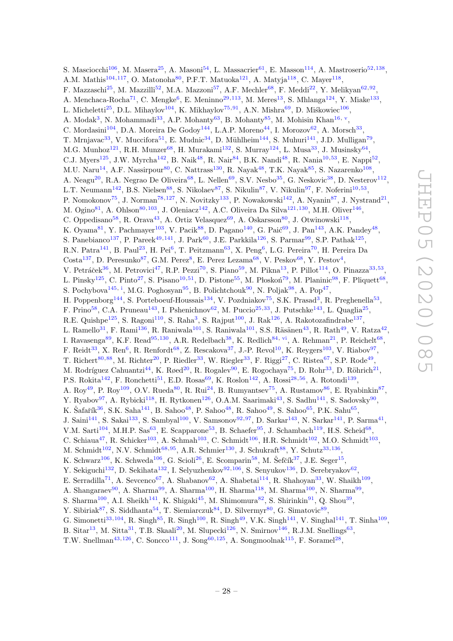S. Masciocchi<sup>106</sup>, M. Masera<sup>25</sup>, A. Masoni<sup>54</sup>, L. Massacrier<sup>61</sup>, E. Masson<sup>114</sup>, A. Mastroserio<sup>52,138</sup>, A.M. Mathis<sup>104,117</sup>, O. Matonoha<sup>80</sup>, P.F.T. Matuoka<sup>121</sup>, A. Matyja<sup>118</sup>, C. Mayer<sup>118</sup>, F. Mazzaschi<sup>25</sup>, M. Mazzilli<sup>52</sup>, M.A. Mazzoni<sup>57</sup>, A.F. Mechler<sup>68</sup>, F. Meddi<sup>22</sup>, Y. Melikyan<sup>62,92</sup>, A. Menchaca-Rocha<sup>71</sup>, C. Mengke<sup>6</sup>, E. Meninno<sup>29,113</sup>, M. Meres<sup>13</sup>, S. Mhlanga<sup>124</sup>, Y. Miake<sup>133</sup>, L. Micheletti<sup>25</sup>, D.L. Mihaylov<sup>104</sup>, K. Mikhaylov<sup>75,91</sup>, A.N. Mishra<sup>69</sup>, D. Miśkowiec<sup>106</sup>, A. Modak<sup>3</sup>, N. Mohammadi<sup>33</sup>, A.P. Mohanty<sup>63</sup>, B. Mohanty<sup>85</sup>, M. Mohisin Khan<sup>16, v</sup>, C. Mordasini<sup>104</sup>, D.A. Moreira De Godoy<sup>144</sup>, L.A.P. Moreno<sup>44</sup>, I. Morozov<sup>62</sup>, A. Morsch<sup>33</sup>, T. Mrnjavac<sup>33</sup>, V. Muccifora<sup>51</sup>, E. Mudnic<sup>34</sup>, D. Mühlheim<sup>144</sup>, S. Muhuri<sup>141</sup>, J.D. Mulligan<sup>79</sup>, M.G. Munhoz<sup>121</sup>, R.H. Munzer<sup>68</sup>, H. Murakami<sup>132</sup>, S. Murray<sup>124</sup>, L. Musa<sup>33</sup>, J. Musinsky<sup>64</sup>, C.J. Myers<sup>125</sup>, J.W. Myrcha<sup>142</sup>, B. Naik<sup>48</sup>, R. Nair<sup>84</sup>, B.K. Nandi<sup>48</sup>, R. Nania<sup>10,53</sup>, E. Nappi<sup>52</sup>, M.U. Naru<sup>14</sup>, A.F. Nassirpour<sup>80</sup>, C. Nattrass<sup>130</sup>, R. Nayak<sup>48</sup>, T.K. Nayak<sup>85</sup>, S. Nazarenko<sup>108</sup>, A. Neagu<sup>20</sup>, R.A. Negrao De Oliveira<sup>68</sup>, L. Nellen<sup>69</sup>, S.V. Nesbo<sup>35</sup>, G. Neskovic<sup>38</sup>, D. Nesterov<sup>112</sup>, L.T. Neumann<sup>142</sup>, B.S. Nielsen<sup>88</sup>, S. Nikolaev<sup>87</sup>, S. Nikulin<sup>87</sup>, V. Nikulin<sup>97</sup>, F. Noferini<sup>10,53</sup>, P. Nomokonov<sup>75</sup>, J. Norman<sup>78,127</sup>, N. Novitzky<sup>133</sup>, P. Nowakowski<sup>142</sup>, A. Nyanin<sup>87</sup>, J. Nystrand<sup>21</sup>, M. Ogino $^{81}$ , A. Ohlson $^{80,103}$ , J. Oleniacz<sup>142</sup>, A.C. Oliveira Da Silva<sup>121,130</sup>, M.H. Oliver<sup>146</sup>, C. Oppedisano<sup>58</sup>, R. Orava<sup>43</sup>, A. Ortiz Velasquez<sup>69</sup>, A. Oskarsson<sup>80</sup>, J. Otwinowski<sup>118</sup>, K. Oyama $^{81}$ , Y. Pachmayer<sup>103</sup>, V. Pacik $^{88}$ , D. Pagano<sup>140</sup>, G. Paić $^{69}$ , J. Pan<sup>143</sup>, A.K. Pandey<sup>48</sup>, S. Panebianco<sup>137</sup>, P. Pareek<sup>49,141</sup>, J. Park<sup>60</sup>, J.E. Parkkila<sup>126</sup>, S. Parmar<sup>99</sup>, S.P. Pathak<sup>125</sup>, R.N. Patra<sup>141</sup>, B. Paul<sup>23</sup>, H. Pei<sup>6</sup>, T. Peitzmann<sup>63</sup>, X. Peng<sup>6</sup>, L.G. Pereira<sup>70</sup>, H. Pereira Da Costa<sup>137</sup>, D. Peresunko<sup>87</sup>, G.M. Perez<sup>8</sup>, E. Perez Lezama<sup>68</sup>, V. Peskov<sup>68</sup>, Y. Pestov<sup>4</sup>, V. Petráček $^{36}$ , M. Petrovici<sup>47</sup>, R.P. Pezzi<sup>70</sup>, S. Piano<sup>59</sup>, M. Pikna<sup>13</sup>, P. Pillot<sup>114</sup>, O. Pinazza<sup>33,53</sup>, L. Pinsky<sup>125</sup>, C. Pinto<sup>27</sup>, S. Pisano<sup>10,51</sup>, D. Pistone<sup>55</sup>, M. Ploskon<sup>79</sup>, M. Planinic<sup>98</sup>, F. Pliquett<sup>68</sup>, S. Pochybova<sup>145, i</sup>, M.G. Poghosyan<sup>95</sup>, B. Polichtchouk<sup>90</sup>, N. Poljak<sup>98</sup>, A. Pop<sup>47</sup>, H. Poppenborg<sup>144</sup>, S. Porteboeuf-Houssais<sup>134</sup>, V. Pozdniakov<sup>75</sup>, S.K. Prasad<sup>3</sup>, R. Preghenella<sup>53</sup>, F. Prino<sup>58</sup>, C.A. Pruneau<sup>143</sup>, I. Pshenichnov<sup>62</sup>, M. Puccio<sup>25,33</sup>, J. Putschke<sup>143</sup>, L. Quaglia<sup>25</sup>, R.E. Quishpe<sup>125</sup>, S. Ragoni<sup>110</sup>, S. Raha<sup>3</sup>, S. Rajput<sup>100</sup>, J. Rak<sup>126</sup>, A. Rakotozafindrabe<sup>137</sup>, L. Ramello<sup>31</sup>, F. Rami<sup>136</sup>, R. Raniwala<sup>101</sup>, S. Raniwala<sup>101</sup>, S.S. Räsänen<sup>43</sup>, R. Rath<sup>49</sup>, V. Ratza<sup>42</sup>, I. Ravasenga $^{89}$ , K.F. Read $^{95,130}$ , A.R. Redelbach<sup>38</sup>, K. Redlich<sup>84, vi</sup>, A. Rehman<sup>21</sup>, P. Reichelt<sup>68</sup>, F. Reidt<sup>33</sup>, X. Ren<sup>6</sup>, R. Renfordt<sup>68</sup>, Z. Rescakova<sup>37</sup>, J.-P. Revol<sup>10</sup>, K. Reygers<sup>103</sup>, V. Riabov<sup>97</sup>, T. Richert ${}^{80,88}$ , M. Richter ${}^{20}$ , P. Riedler ${}^{33}$ , W. Riegler ${}^{33}$ , F. Riggi ${}^{27}$ , C. Ristea ${}^{67}$ , S.P. Rode ${}^{49}$ , M. Rodríguez Cahuantzi<sup>44</sup>, K. Røed<sup>20</sup>, R. Rogalev<sup>90</sup>, E. Rogochaya<sup>75</sup>, D. Rohr<sup>33</sup>, D. Röhrich<sup>21</sup>, P.S. Rokita<sup>142</sup>, F. Ronchetti<sup>51</sup>, E.D. Rosas<sup>69</sup>, K. Roslon<sup>142</sup>, A. Rossi<sup>28,56</sup>, A. Rotondi<sup>139</sup>, A. Roy<sup>49</sup>, P. Roy<sup>109</sup>, O.V. Rueda<sup>80</sup>, R. Rui<sup>24</sup>, B. Rumyantsev<sup>75</sup>, A. Rustamov<sup>86</sup>, E. Ryabinkin<sup>87</sup>, Y. Ryabov<sup>97</sup>, A. Rybicki<sup>118</sup>, H. Rytkonen<sup>126</sup>, O.A.M. Saarimaki<sup>43</sup>, S. Sadhu<sup>141</sup>, S. Sadovsky<sup>90</sup>, K. Šafařík $^{36}$ , S.K. Saha $^{141}$ , B. Sahoo $^{48}$ , P. Sahoo $^{48}$ , R. Sahoo $^{49}$ , S. Sahoo $^{65}$ , P.K. Sahu $^{65}$ , J. Saini<sup>141</sup>, S. Sakai<sup>133</sup>, S. Sambyal<sup>100</sup>, V. Samsonov<sup>92,97</sup>, D. Sarkar<sup>143</sup>, N. Sarkar<sup>141</sup>, P. Sarma<sup>41</sup>, V.M. Sarti<sup>104</sup>, M.H.P. Sas<sup>63</sup>, E. Scapparone<sup>53</sup>, B. Schaefer<sup>95</sup>, J. Schambach<sup>119</sup>, H.S. Scheid<sup>68</sup>, C. Schiaua<sup>47</sup>, R. Schicker<sup>103</sup>, A. Schmah<sup>103</sup>, C. Schmidt<sup>106</sup>, H.R. Schmidt<sup>102</sup>, M.O. Schmidt<sup>103</sup>, M. Schmidt<sup>102</sup>, N.V. Schmidt<sup>68,95</sup>, A.R. Schmier<sup>130</sup>, J. Schukraft<sup>88</sup>, Y. Schutz<sup>33,136</sup>, K. Schwarz<sup>106</sup>, K. Schweda<sup>106</sup>, G. Scioli<sup>26</sup>, E. Scomparin<sup>58</sup>, M. Šefčík<sup>37</sup>, J.E. Seger<sup>15</sup>, Y. Sekiguchi<sup>132</sup>, D. Sekihata<sup>132</sup>, I. Selyuzhenkov<sup>92,106</sup>, S. Senyukov<sup>136</sup>, D. Serebryakov<sup>62</sup>, E. Serradilla<sup>71</sup>, A. Sevcenco<sup>67</sup>, A. Shabanov<sup>62</sup>, A. Shabetai<sup>114</sup>, R. Shahoyan<sup>33</sup>, W. Shaikh<sup>109</sup>, A. Shangaraev<sup>90</sup>, A. Sharma<sup>99</sup>, A. Sharma<sup>100</sup>, H. Sharma<sup>118</sup>, M. Sharma<sup>100</sup>, N. Sharma<sup>99</sup>, S. Sharma<sup>100</sup>, A.I. Sheikh<sup>141</sup>, K. Shigaki<sup>45</sup>, M. Shimomura<sup>82</sup>, S. Shirinkin<sup>91</sup>, Q. Shou<sup>39</sup>, Y. Sibiriak<sup>87</sup>, S. Siddhanta<sup>54</sup>, T. Siemiarczuk<sup>84</sup>, D. Silvermyr<sup>80</sup>, G. Simatovic<sup>89</sup>, G. Simonetti<sup>33,104</sup>, R. Singh<sup>85</sup>, R. Singh<sup>100</sup>, R. Singh<sup>49</sup>, V.K. Singh<sup>141</sup>, V. Singhal<sup>141</sup>, T. Sinha<sup>109</sup>, B. Sitar<sup>13</sup>, M. Sitta<sup>31</sup>, T.B. Skaali<sup>20</sup>, M. Slupecki<sup>126</sup>, N. Smirnov<sup>146</sup>, R.J.M. Snellings<sup>63</sup>,

T.W. Snellman<sup>43,126</sup>, C. Soncco<sup>111</sup>, J. Song<sup>60,125</sup>, A. Songmoolnak<sup>115</sup>, F. Soramel<sup>28</sup>,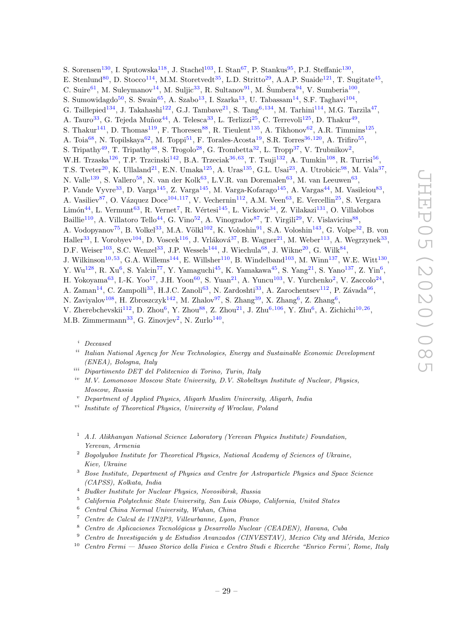S. Sorensen<sup>130</sup>, I. Sputowska<sup>118</sup>, J. Stachel<sup>103</sup>, I. Stan<sup>67</sup>, P. Stankus<sup>95</sup>, P.J. Steffanic<sup>130</sup>, E. Stenlund<sup>80</sup>, D. Stocco<sup>114</sup>, M.M. Storetvedt<sup>35</sup>, L.D. Stritto<sup>29</sup>, A.A.P. Suaide<sup>121</sup>, T. Sugitate<sup>45</sup>, C. Suire<sup>61</sup>, M. Suleymanov<sup>14</sup>, M. Suljic<sup>33</sup>, R. Sultanov<sup>91</sup>, M. Šumbera<sup>94</sup>, V. Sumberia<sup>100</sup>, S. Sumowidagdo<sup>50</sup>, S. Swain<sup>65</sup>, A. Szabo<sup>13</sup>, I. Szarka<sup>13</sup>, U. Tabassam<sup>14</sup>, S.F. Taghavi<sup>104</sup>, G. Taillepied<sup>134</sup>, J. Takahashi<sup>122</sup>, G.J. Tambave<sup>21</sup>, S. Tang<sup>6,134</sup>, M. Tarhini<sup>114</sup>, M.G. Tarzila<sup>47</sup>, A. Tauro<sup>33</sup>, G. Tejeda Muñoz<sup>44</sup>, A. Telesca<sup>33</sup>, L. Terlizzi<sup>25</sup>, C. Terrevoli<sup>125</sup>, D. Thakur<sup>49</sup>, S. Thakur<sup>141</sup>, D. Thomas<sup>119</sup>, F. Thoresen<sup>88</sup>, R. Tieulent<sup>135</sup>, A. Tikhonov<sup>62</sup>, A.R. Timmins<sup>125</sup>, A. Toia<sup>68</sup>, N. Topilskaya<sup>62</sup>, M. Toppi<sup>51</sup>, F. Torales-Acosta<sup>19</sup>, S.R. Torres<sup>36,120</sup>, A. Trifiro<sup>55</sup>, S. Tripathy<sup>49</sup>, T. Tripathy<sup>48</sup>, S. Trogolo<sup>28</sup>, G. Trombetta<sup>32</sup>, L. Tropp<sup>37</sup>, V. Trubnikov<sup>2</sup>, W.H. Trzaska<sup>126</sup>, T.P. Trzcinski<sup>142</sup>, B.A. Trzeciak<sup>36,63</sup>, T. Tsuji<sup>132</sup>, A. Tumkin<sup>108</sup>, R. Turrisi<sup>56</sup>, T.S. Tveter<sup>20</sup>, K. Ullaland<sup>21</sup>, E.N. Umaka<sup>125</sup>, A. Uras<sup>135</sup>, G.L. Usai<sup>23</sup>, A. Utrobicic<sup>98</sup>, M. Vala<sup>37</sup>, N. Valle<sup>139</sup>, S. Vallero<sup>58</sup>, N. van der Kolk<sup>63</sup>, L.V.R. van Doremalen<sup>63</sup>, M. van Leeuwen<sup>63</sup>, P. Vande Vyvre<sup>33</sup>, D. Varga<sup>145</sup>, Z. Varga<sup>145</sup>, M. Varga-Kofarago<sup>145</sup>, A. Vargas<sup>44</sup>, M. Vasileiou<sup>83</sup>, A. Vasiliev<sup>87</sup>, O. Vázquez Doce<sup>104,117</sup>, V. Vechernin<sup>112</sup>, A.M. Veen<sup>63</sup>, E. Vercellin<sup>25</sup>, S. Vergara  $\rm Lim\acute{o}n^{44}, \, L. \; Vermont^{63}, \, R. \; Vernet^7, \, R. \; V\acute{e}rtesi^{145}, \, L. \; Vickovic^{34}, \, Z. \; Vilakazi^{131}, \, O. \; Villalobos$ Baillie<sup>110</sup>, A. Villatoro Tello<sup>44</sup>, G. Vino<sup>52</sup>, A. Vinogradov<sup>87</sup>, T. Virgili<sup>29</sup>, V. Vislavicius<sup>88</sup>, A. Vodopyanov<sup>75</sup>, B. Volkel<sup>33</sup>, M.A. Völkl<sup>102</sup>, K. Voloshin<sup>91</sup>, S.A. Voloshin<sup>143</sup>, G. Volpe<sup>32</sup>, B. von Haller<sup>33</sup>, I. Vorobyev<sup>104</sup>, D. Voscek<sup>116</sup>, J. Vrláková<sup>37</sup>, B. Wagner<sup>21</sup>, M. Weber<sup>113</sup>, A. Wegrzynek<sup>33</sup>, D.F. Weiser<sup>103</sup>, S.C. Wenzel<sup>33</sup>, J.P. Wessels<sup>144</sup>, J. Wiechula<sup>68</sup>, J. Wikne<sup>20</sup>, G. Wilk<sup>84</sup>, J. Wilkinson<sup>10,53</sup>, G.A. Willems<sup>144</sup>, E. Willsher<sup>110</sup>, B. Windelband<sup>103</sup>, M. Winn<sup>137</sup>, W.E. Witt<sup>130</sup>, Y. Wu<sup>128</sup>, R. Xu<sup>6</sup>, S. Yalcin<sup>77</sup>, Y. Yamaguchi<sup>45</sup>, K. Yamakawa<sup>45</sup>, S. Yang<sup>21</sup>, S. Yano<sup>137</sup>, Z. Yin<sup>6</sup>, H. Yokoyama<sup>63</sup>, I.-K. Yoo<sup>17</sup>, J.H. Yoon<sup>60</sup>, S. Yuan<sup>21</sup>, A. Yuncu<sup>103</sup>, V. Yurchenko<sup>2</sup>, V. Zaccolo<sup>24</sup>, A. Zaman<sup>14</sup>, C. Zampolli<sup>33</sup>, H.J.C. Zanoli<sup>63</sup>, N. Zardoshti<sup>33</sup>, A. Zarochentsev<sup>112</sup>, P. Závada<sup>66</sup>, N. Zaviyalov<sup>108</sup>, H. Zbroszczyk<sup>142</sup>, M. Zhalov<sup>97</sup>, S. Zhang<sup>39</sup>, X. Zhang<sup>6</sup>, Z. Zhang<sup>6</sup>, V. Zherebchevskii<sup>112</sup>, D. Zhou<sup>6</sup>, Y. Zhou<sup>88</sup>, Z. Zhou<sup>21</sup>, J. Zhu<sup>6,106</sup>, Y. Zhu<sup>6</sup>, A. Zichichi<sup>10,26</sup>, M.B. Zimmermann<sup>33</sup>, G. Zinovjev<sup>2</sup>, N. Zurlo<sup>140</sup>,

<sup>i</sup> Deceased

- <sup>ii</sup> Italian National Agency for New Technologies, Energy and Sustainable Economic Development (ENEA), Bologna, Italy
- iii Dipartimento DET del Politecnico di Torino, Turin, Italy
- iv M.V. Lomonosov Moscow State University, D.V. Skobeltsyn Institute of Nuclear, Physics, Moscow, Russia
- <sup>v</sup> Department of Applied Physics, Aligarh Muslim University, Aligarh, India
- $\mathbf{v}^i$  Institute of Theoretical Physics, University of Wroclaw, Poland
- <sup>1</sup> A.I. Alikhanyan National Science Laboratory (Yerevan Physics Institute) Foundation, Yerevan, Armenia
- <sup>2</sup> Bogolyubov Institute for Theoretical Physics, National Academy of Sciences of Ukraine, Kiev, Ukraine
- <sup>3</sup> Bose Institute, Department of Physics and Centre for Astroparticle Physics and Space Science (CAPSS), Kolkata, India
- <sup>4</sup> Budker Institute for Nuclear Physics, Novosibirsk, Russia
- <sup>5</sup> California Polytechnic State University, San Luis Obispo, California, United States
- <sup>6</sup> Central China Normal University, Wuhan, China
- <sup>7</sup> Centre de Calcul de l'IN2P3, Villeurbanne, Lyon, France
- <sup>8</sup> Centro de Aplicaciones Tecnológicas y Desarrollo Nuclear (CEADEN), Havana, Cuba
- $9$  Centro de Investigación y de Estudios Avanzados (CINVESTAV), Mexico City and Mérida, Mexico
- $10$  Centro Fermi Museo Storico della Fisica e Centro Studi e Ricerche "Enrico Fermi', Rome, Italy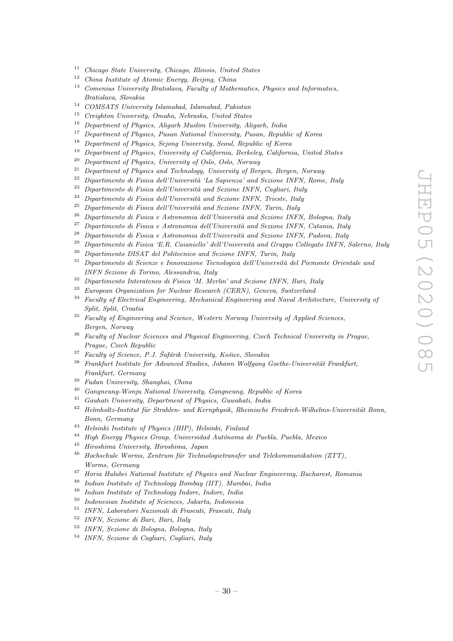- $11$  Chicago State University, Chicago, Illinois, United States
- $12$  China Institute of Atomic Energy, Beijing, China
- <sup>13</sup> Comenius University Bratislava, Faculty of Mathematics, Physics and Informatics, Bratislava, Slovakia
- <sup>14</sup> COMSATS University Islamabad, Islamabad, Pakistan
- <sup>15</sup> Creighton University, Omaha, Nebraska, United States<br><sup>16</sup> Department of Physics Aligarh Muslim University Ali
- <sup>16</sup> Department of Physics, Aligarh Muslim University, Aligarh, India<br><sup>17</sup> Department of Physics, Brazy Methanol University, Brazy Band
- <sup>17</sup> Department of Physics, Pusan National University, Pusan, Republic of Korea
- <sup>18</sup> Department of Physics, Sejong University, Seoul, Republic of Korea
- $19$  Department of Physics, University of California, Berkeley, California, United States
- <sup>20</sup> Department of Physics, University of Oslo, Oslo, Norway
- <sup>21</sup> Department of Physics and Technology, University of Bergen, Bergen, Norway
- $22$  Dipartimento di Fisica dell'Università 'La Sapienza' and Sezione INFN, Rome, Italy
- <sup>23</sup> Dipartimento di Fisica dell'Università and Sezione INFN, Cagliari, Italy<br><sup>24</sup> Dipartimento di Fisica dell'Università and Sezione INFN, Triocte, Italy
- Dipartimento di Fisica dell'Università and Sezione INFN, Trieste, Italy
- $^{25}$  Dipartimento di Fisica dell'Università and Sezione INFN, Turin, Italy
- $^{26}$  Dipartimento di Fisica e Astronomia dell'Università and Sezione INFN, Bologna, Italy
- <sup>27</sup> Dipartimento di Fisica e Astronomia dell'Università and Sezione INFN, Catania, Italy
- <sup>28</sup> Dipartimento di Fisica e Astronomia dell'Università and Sezione INFN, Padova, Italy<br><sup>29</sup> Dienvis di Fisica (F.P. Geisenialla) dell'Università and Crunne Collegate INFN
- Dipartimento di Fisica 'E.R. Caianiello' dell'Università and Gruppo Collegato INFN, Salerno, Italy
- <sup>30</sup> Dipartimento DISAT del Politecnico and Sezione INFN, Turin, Italy
- $31$  Dipartimento di Scienze e Innovazione Tecnologica dell'Università del Piemonte Orientale and INFN Sezione di Torino, Alessandria, Italy
- $32$  Dipartimento Interateneo di Fisica 'M. Merlin' and Sezione INFN, Bari, Italy<br> $33$  European Operaintien for Nuclear Because (CERN), Cances Switzerland
- <sup>33</sup> European Organization for Nuclear Research (CERN), Geneva, Switzerland
- <sup>34</sup> Faculty of Electrical Engineering, Mechanical Engineering and Naval Architecture, University of Split, Split, Croatia
- <sup>35</sup> Faculty of Engineering and Science, Western Norway University of Applied Sciences, Bergen, Norway
- <sup>36</sup> Faculty of Nuclear Sciences and Physical Engineering, Czech Technical University in Prague, Prague, Czech Republic
- $37$  Faculty of Science, P.J. Šafárik University, Košice, Slovakia  $38$  Frankfurt Institute for Advanced Studies, Johann Wolfgang (
- $35 R_{\text{max}}$  Frankfurt Institute for Advanced Studies, Johann Wolfgang Goethe-Universität Frankfurt, Frankfurt, Germany
- <sup>39</sup> Fudan University, Shanghai, China
- <sup>40</sup> Gangneung-Wonju National University, Gangneung, Republic of Korea
- <sup>41</sup> Gauhati University, Department of Physics, Guwahati, India
- $^{42}$  Helmholtz-Institut für Strahlen- und Kernphysik, Rheinische Friedrich-Wilhelms-Universität Bonn, Bonn, Germany
- <sup>43</sup> Helsinki Institute of Physics (HIP), Helsinki, Finland
- <sup>44</sup> High Energy Physics Group, Universidad Autónoma de Puebla, Puebla, Mexico
- <sup>45</sup> Hiroshima University, Hiroshima, Japan
- $^{46}$  Hochschule Worms, Zentrum für Technologietransfer und Telekommunikation (ZTT). Worms, Germany
- <sup>47</sup> Horia Hulubei National Institute of Physics and Nuclear Engineering, Bucharest, Romania
- <sup>48</sup> Indian Institute of Technology Bombay (IIT), Mumbai, India
- <sup>49</sup> Indian Institute of Technology Indore, Indore, India
- <sup>50</sup> Indonesian Institute of Sciences, Jakarta, Indonesia
- <sup>51</sup> INFN, Laboratori Nazionali di Frascati, Frascati, Italy
- <sup>52</sup> INFN, Sezione di Bari, Bari, Italy
- <sup>53</sup> INFN, Sezione di Bologna, Bologna, Italy
- <sup>54</sup> INFN, Sezione di Cagliari, Cagliari, Italy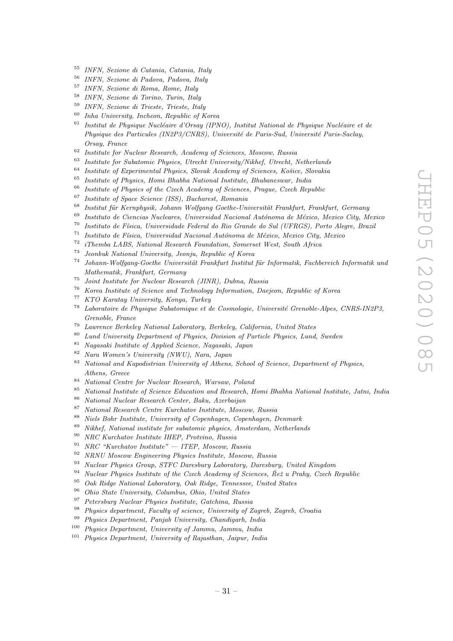- <sup>55</sup> INFN, Sezione di Catania, Catania, Italy
- <sup>56</sup> INFN, Sezione di Padova, Padova, Italy
- <sup>57</sup> INFN, Sezione di Roma, Rome, Italy
- <sup>58</sup> INFN, Sezione di Torino, Turin, Italy
- <sup>59</sup> INFN, Sezione di Trieste, Trieste, Italy
- <sup>60</sup> Inha University, Incheon, Republic of Korea
- Institut de Physique Nucléaire d'Orsay (IPNO), Institut National de Physique Nucléaire et de Physique des Particules (IN2P3/CNRS), Université de Paris-Sud, Université Paris-Saclay, Orsay, France
- <sup>62</sup> Institute for Nuclear Research, Academy of Sciences, Moscow, Russia
- <sup>63</sup> Institute for Subatomic Physics, Utrecht University/Nikhef, Utrecht, Netherlands<br><sup>64</sup> Institute of Experimental Physics, Slaugh Asedamy of Sciences, Kožics, Slaughia
- Institute of Experimental Physics, Slovak Academy of Sciences, Košice, Slovakia
- <sup>65</sup> Institute of Physics, Homi Bhabha National Institute, Bhubaneswar, India
- <sup>66</sup> Institute of Physics of the Czech Academy of Sciences, Prague, Czech Republic<br><sup>67</sup> Institute of Space Science (ISS), Purkapart, Pemania
- <sup>67</sup> Institute of Space Science (ISS), Bucharest, Romania
- $68$  Institut für Kernphysik, Johann Wolfgang Goethe-Universität Frankfurt, Frankfurt, Germany
- $69$  Instituto de Ciencias Nucleares, Universidad Nacional Autónoma de México, Mexico City, Mexico
- <sup>70</sup> Instituto de Física, Universidade Federal do Rio Grande do Sul (UFRGS), Porto Alegre, Brazil<br><sup>71</sup> Instituto de Física, Universidad Nacional Autónoma de Márico, Marico City, Marico
- <sup>71</sup> Instituto de Física, Universidad Nacional Autónoma de México, Mexico City, Mexico  $72$  iThemba LABS, National Bessexth Foundation, Somerset West, South Africa
- iThemba LABS, National Research Foundation, Somerset West, South Africa
- <sup>73</sup> Jeonbuk National University, Jeonju, Republic of Korea
- $74$  Johann-Wolfgang-Goethe Universität Frankfurt Institut für Informatik, Fachbereich Informatik und Mathematik, Frankfurt, Germany
- <sup>75</sup> Joint Institute for Nuclear Research (JINR), Dubna, Russia<br> $^{76}$  Kansa Institute of Seisnes and Technology Information, Dec
- <sup>76</sup> Korea Institute of Science and Technology Information, Daejeon, Republic of Korea<br><sup>77</sup> KTO Kantau University Kanya Turboy
- <sup>77</sup> KTO Karatay University, Konya, Turkey
- $78$  Laboratoire de Physique Subatomique et de Cosmologie, Université Grenoble-Alpes, CNRS-IN2P3, Grenoble, France
- <sup>79</sup> Lawrence Berkeley National Laboratory, Berkeley, California, United States
- <sup>80</sup> Lund University Department of Physics, Division of Particle Physics, Lund, Sweden
- <sup>81</sup> Nagasaki Institute of Applied Science, Nagasaki, Japan<br><sup>82</sup> Nagasaki, *Hamarika (NWH)* Nagasaki, Japan
- <sup>82</sup> Nara Women's University (NWU), Nara, Japan
- National and Kapodistrian University of Athens, School of Science, Department of Physics, Athens, Greece
- <sup>84</sup> National Centre for Nuclear Research, Warsaw, Poland
- <sup>85</sup> National Institute of Science Education and Research, Homi Bhabha National Institute, Jatni, India
- <sup>86</sup> National Nuclear Research Center, Baku, Azerbaijan
- <sup>87</sup> National Research Centre Kurchatov Institute, Moscow, Russia
- <sup>88</sup> Niels Bohr Institute, University of Copenhagen, Copenhagen, Denmark
- <sup>89</sup> Nikhef, National institute for subatomic physics, Amsterdam, Netherlands
- <sup>90</sup> NRC Kurchatov Institute IHEP, Protvino, Russia<br><sup>91</sup> NRC <sup>#K</sup>urchatov Institute" LIEP Massey Ru
- <sup>91</sup> NRC "Kurchatov Institute" ITEP, Moscow, Russia
- <sup>92</sup> NRNU Moscow Engineering Physics Institute, Moscow, Russia
- <sup>93</sup> Nuclear Physics Group, STFC Daresbury Laboratory, Daresbury, United Kingdom<br><sup>94</sup> Nuclear Physics Institute of the Creek Academy of Sciences, Pež y Prahy, Creek I
- <sup>94</sup> Nuclear Physics Institute of the Czech Academy of Sciences,  $\check{Re}z$  u Prahy, Czech Republic <sup>95</sup> Oak Bidge National Lebenstery, Oak Bidge Tennessee, United States
- <sup>95</sup> Oak Ridge National Laboratory, Oak Ridge, Tennessee, United States
- <sup>96</sup> Ohio State University, Columbus, Ohio, United States
- <sup>97</sup> Petersburg Nuclear Physics Institute, Gatchina, Russia
- <sup>98</sup> Physics department, Faculty of science, University of Zagreb, Zagreb, Croatia
- <sup>99</sup> Physics Department, Panjab University, Chandigarh, India
- <sup>100</sup> Physics Department, University of Jammu, Jammu, India
- $101$  Physics Department, University of Rajasthan, Jaipur, India